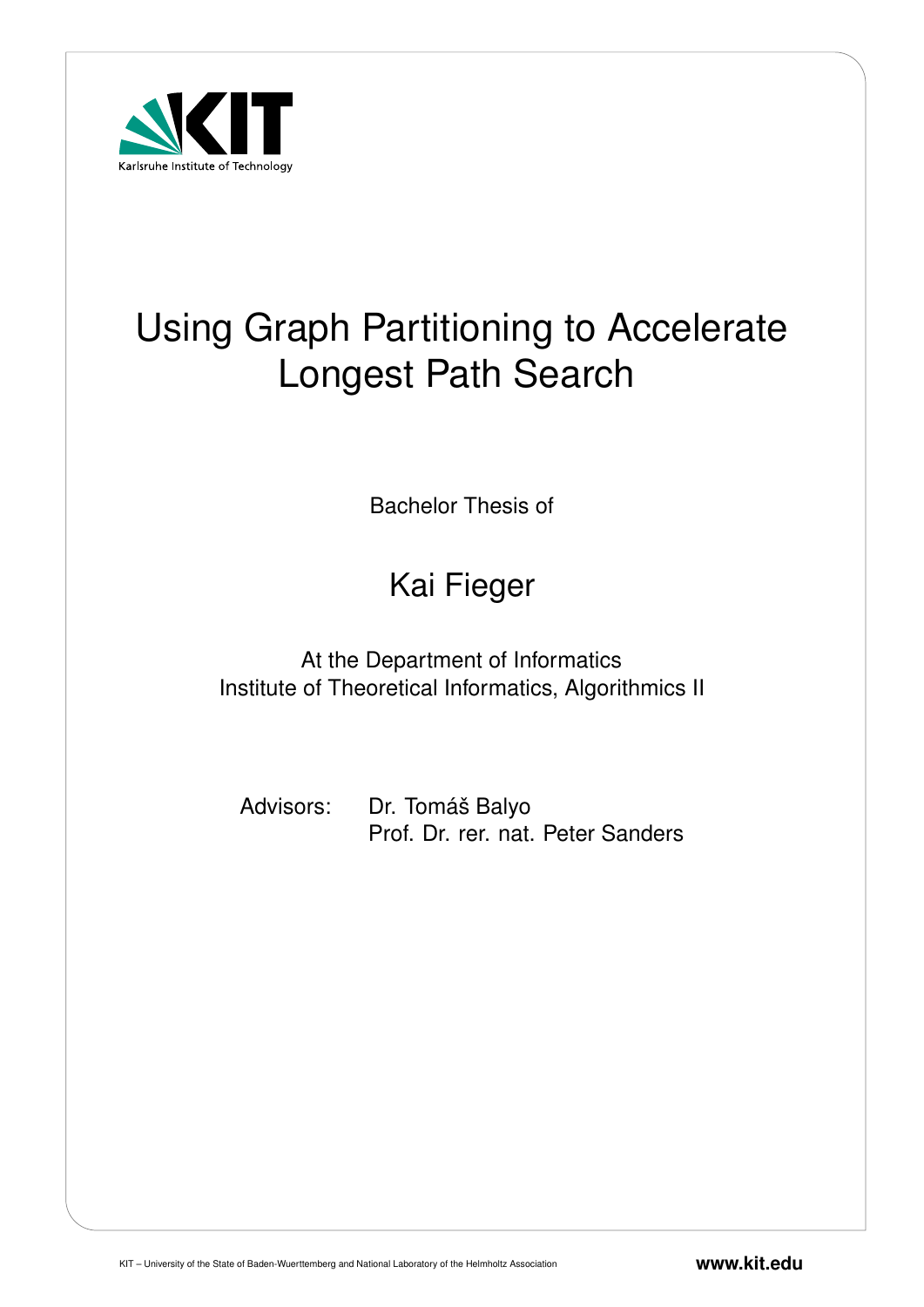

# Using Graph Partitioning to Accelerate Longest Path Search

Bachelor Thesis of

# Kai Fieger

At the Department of Informatics Institute of Theoretical Informatics, Algorithmics II

Advisors: Dr. Tomáš Balyo Prof. Dr. rer. nat. Peter Sanders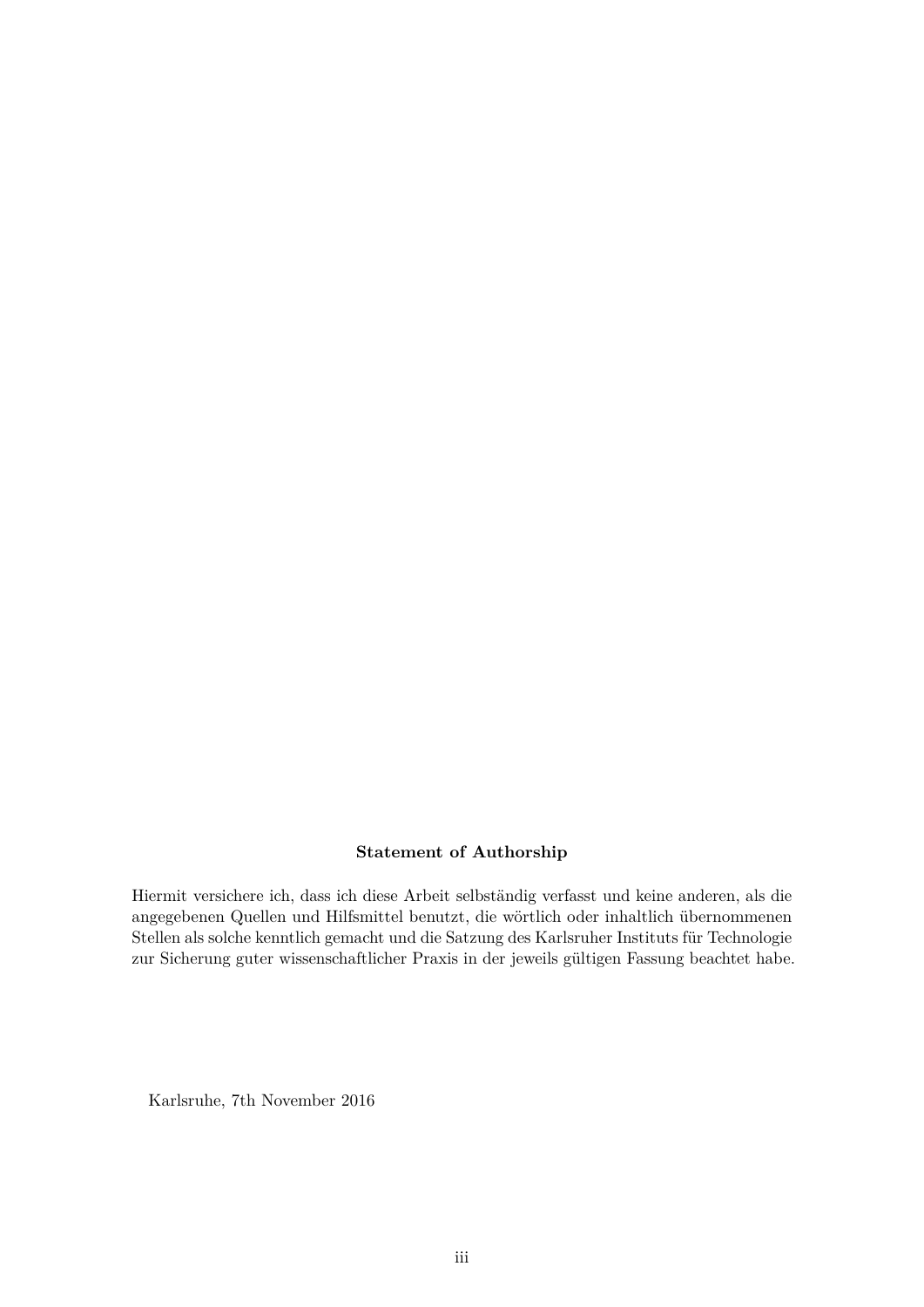# **Statement of Authorship**

Hiermit versichere ich, dass ich diese Arbeit selbständig verfasst und keine anderen, als die angegebenen Quellen und Hilfsmittel benutzt, die wörtlich oder inhaltlich übernommenen Stellen als solche kenntlich gemacht und die Satzung des Karlsruher Instituts für Technologie zur Sicherung guter wissenschaftlicher Praxis in der jeweils gültigen Fassung beachtet habe.

Karlsruhe, 7th November 2016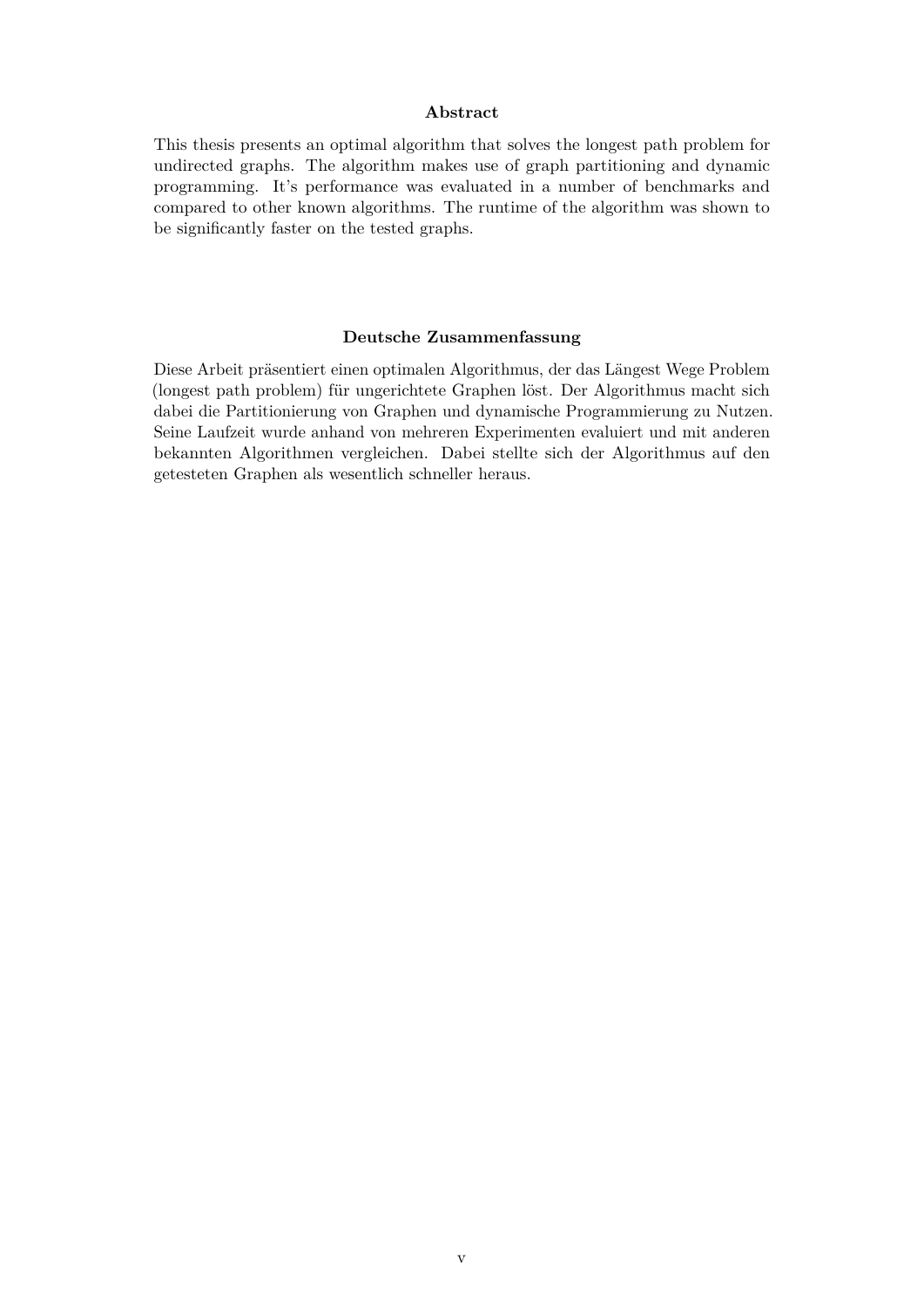#### **Abstract**

This thesis presents an optimal algorithm that solves the longest path problem for undirected graphs. The algorithm makes use of graph partitioning and dynamic programming. It's performance was evaluated in a number of benchmarks and compared to other known algorithms. The runtime of the algorithm was shown to be significantly faster on the tested graphs.

#### **Deutsche Zusammenfassung**

Diese Arbeit präsentiert einen optimalen Algorithmus, der das Längest Wege Problem (longest path problem) für ungerichtete Graphen löst. Der Algorithmus macht sich dabei die Partitionierung von Graphen und dynamische Programmierung zu Nutzen. Seine Laufzeit wurde anhand von mehreren Experimenten evaluiert und mit anderen bekannten Algorithmen vergleichen. Dabei stellte sich der Algorithmus auf den getesteten Graphen als wesentlich schneller heraus.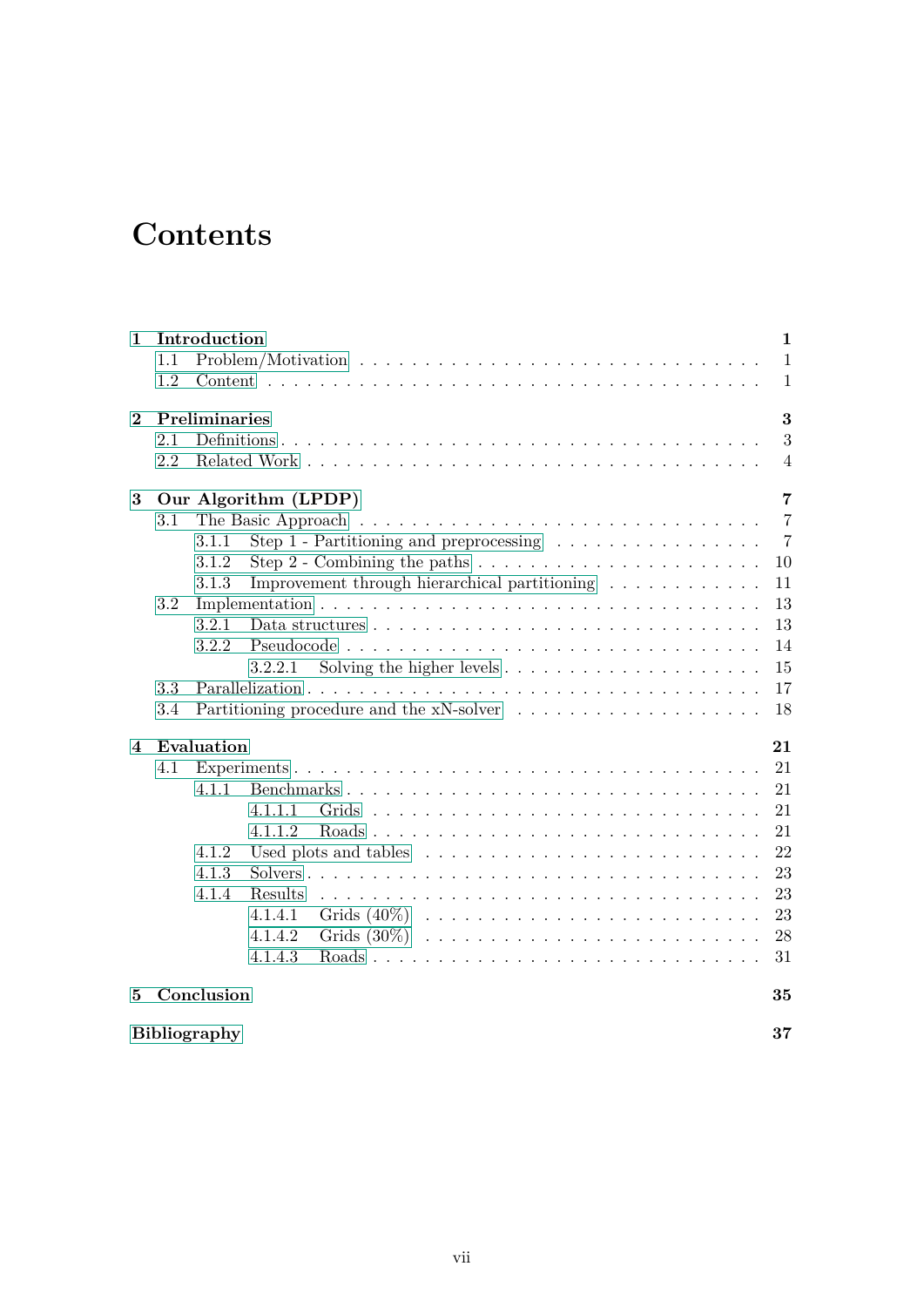# **Contents**

| $\mathbf{1}$   |         | Introduction        |                                                                                         |                                                                       |  |  |  |  |  |  |  | $\mathbf{1}$   |
|----------------|---------|---------------------|-----------------------------------------------------------------------------------------|-----------------------------------------------------------------------|--|--|--|--|--|--|--|----------------|
|                | 1.1     |                     |                                                                                         |                                                                       |  |  |  |  |  |  |  | $\mathbf{1}$   |
|                | 1.2     |                     |                                                                                         |                                                                       |  |  |  |  |  |  |  | $\mathbf{1}$   |
| $\bf{2}$       |         | Preliminaries       |                                                                                         |                                                                       |  |  |  |  |  |  |  | 3              |
|                | 2.1     |                     |                                                                                         |                                                                       |  |  |  |  |  |  |  | 3              |
|                | 2.2     |                     |                                                                                         |                                                                       |  |  |  |  |  |  |  | $\overline{4}$ |
| 3              |         |                     | Our Algorithm (LPDP)                                                                    |                                                                       |  |  |  |  |  |  |  | $\overline{7}$ |
|                | 3.1     |                     |                                                                                         |                                                                       |  |  |  |  |  |  |  | $\overline{7}$ |
|                |         | 3.1.1               | Step 1 - Partitioning and preprocessing $\ldots \ldots \ldots \ldots \ldots$            |                                                                       |  |  |  |  |  |  |  | $\overline{7}$ |
|                |         | 3.1.2               | Step 2 - Combining the paths $\dots \dots \dots \dots \dots \dots \dots \dots$          |                                                                       |  |  |  |  |  |  |  | 10             |
|                |         | 3.1.3               | Improvement through hierarchical partitioning                                           |                                                                       |  |  |  |  |  |  |  | 11             |
|                | 3.2     |                     |                                                                                         |                                                                       |  |  |  |  |  |  |  | 13             |
|                |         | 3.2.1               | Data structures $\ldots \ldots \ldots \ldots \ldots \ldots \ldots \ldots \ldots \ldots$ |                                                                       |  |  |  |  |  |  |  | 13             |
|                |         | 3.2.2               |                                                                                         |                                                                       |  |  |  |  |  |  |  | 14             |
|                |         |                     | 3.2.2.1                                                                                 | Solving the higher levels $\dots \dots \dots \dots \dots \dots \dots$ |  |  |  |  |  |  |  | 15             |
|                | 3.3     |                     |                                                                                         |                                                                       |  |  |  |  |  |  |  | 17             |
|                | $3.4\,$ |                     |                                                                                         |                                                                       |  |  |  |  |  |  |  | 18             |
| $\overline{4}$ |         | Evaluation          |                                                                                         |                                                                       |  |  |  |  |  |  |  | 21             |
|                | 4.1     |                     |                                                                                         |                                                                       |  |  |  |  |  |  |  | 21             |
|                |         | 4.1.1               | Benchmarks                                                                              |                                                                       |  |  |  |  |  |  |  | 21             |
|                |         |                     | 4.1.1.1                                                                                 |                                                                       |  |  |  |  |  |  |  | 21             |
|                |         |                     | 4.1.1.2                                                                                 |                                                                       |  |  |  |  |  |  |  | 21             |
|                |         | 4.1.2               |                                                                                         |                                                                       |  |  |  |  |  |  |  | 22             |
|                |         | 4.1.3               |                                                                                         |                                                                       |  |  |  |  |  |  |  | 23             |
|                |         | 4.1.4               | Results                                                                                 |                                                                       |  |  |  |  |  |  |  | 23             |
|                |         |                     | 4.1.4.1                                                                                 |                                                                       |  |  |  |  |  |  |  | 23             |
|                |         |                     | 4.1.4.2                                                                                 |                                                                       |  |  |  |  |  |  |  | 28             |
|                |         |                     | 4.1.4.3                                                                                 |                                                                       |  |  |  |  |  |  |  | 31             |
| 5.             |         | Conclusion          |                                                                                         |                                                                       |  |  |  |  |  |  |  | 35             |
|                |         | <b>Bibliography</b> |                                                                                         |                                                                       |  |  |  |  |  |  |  | 37             |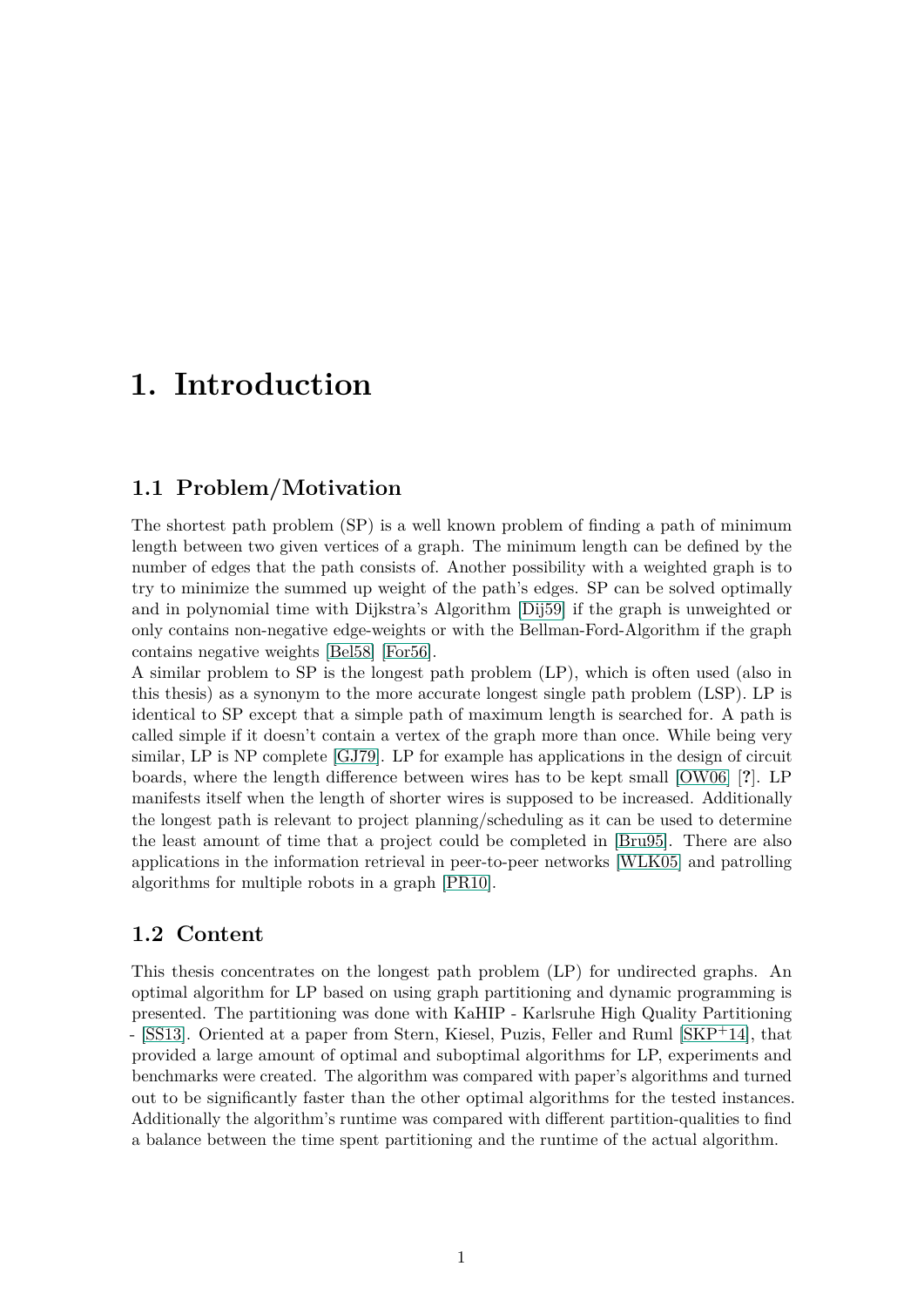# <span id="page-8-0"></span>**1. Introduction**

# <span id="page-8-1"></span>**1.1 Problem/Motivation**

The shortest path problem (SP) is a well known problem of finding a path of minimum length between two given vertices of a graph. The minimum length can be defined by the number of edges that the path consists of. Another possibility with a weighted graph is to try to minimize the summed up weight of the path's edges. SP can be solved optimally and in polynomial time with Dijkstra's Algorithm [\[Dij59\]](#page-44-1) if the graph is unweighted or only contains non-negative edge-weights or with the Bellman-Ford-Algorithm if the graph contains negative weights [\[Bel58\]](#page-44-2) [\[For56\]](#page-44-3).

A similar problem to SP is the longest path problem (LP), which is often used (also in this thesis) as a synonym to the more accurate longest single path problem (LSP). LP is identical to SP except that a simple path of maximum length is searched for. A path is called simple if it doesn't contain a vertex of the graph more than once. While being very similar, LP is NP complete [\[GJ79\]](#page-44-4). LP for example has applications in the design of circuit boards, where the length difference between wires has to be kept small [\[OW06\]](#page-44-5) [**?**]. LP manifests itself when the length of shorter wires is supposed to be increased. Additionally the longest path is relevant to project planning/scheduling as it can be used to determine the least amount of time that a project could be completed in [\[Bru95\]](#page-44-6). There are also applications in the information retrieval in peer-to-peer networks [\[WLK05\]](#page-44-7) and patrolling algorithms for multiple robots in a graph [\[PR10\]](#page-44-8).

# <span id="page-8-2"></span>**1.2 Content**

This thesis concentrates on the longest path problem (LP) for undirected graphs. An optimal algorithm for LP based on using graph partitioning and dynamic programming is presented. The partitioning was done with KaHIP - Karlsruhe High Quality Partitioning - [\[SS13\]](#page-44-9). Oriented at a paper from Stern, Kiesel, Puzis, Feller and Ruml [\[SKP](#page-44-10)+14], that provided a large amount of optimal and suboptimal algorithms for LP, experiments and benchmarks were created. The algorithm was compared with paper's algorithms and turned out to be significantly faster than the other optimal algorithms for the tested instances. Additionally the algorithm's runtime was compared with different partition-qualities to find a balance between the time spent partitioning and the runtime of the actual algorithm.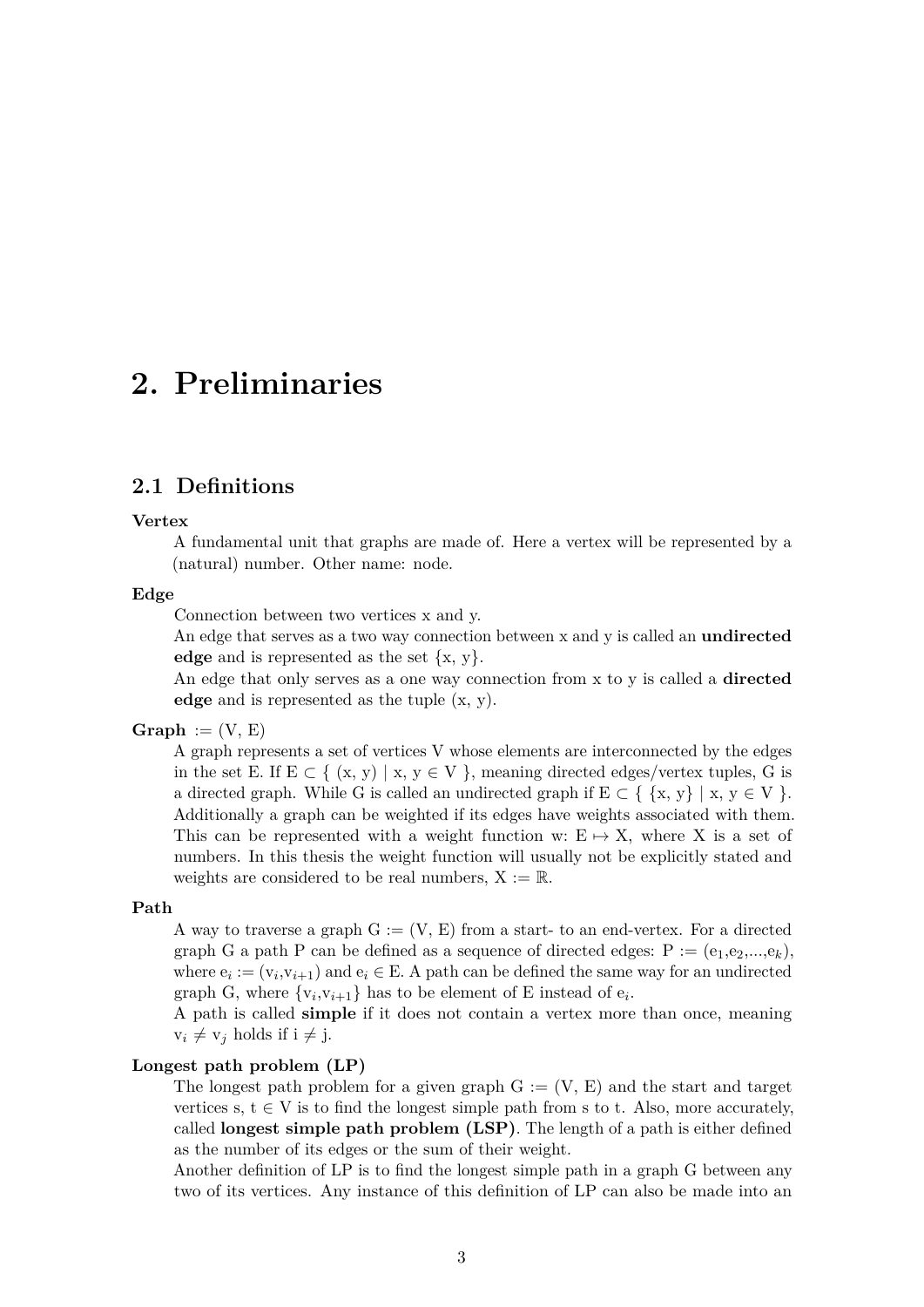# <span id="page-10-0"></span>**2. Preliminaries**

# <span id="page-10-1"></span>**2.1 Definitions**

#### **Vertex**

A fundamental unit that graphs are made of. Here a vertex will be represented by a (natural) number. Other name: node.

### **Edge**

Connection between two vertices x and y.

An edge that serves as a two way connection between x and y is called an **undirected edge** and is represented as the set {x, y}.

An edge that only serves as a one way connection from x to y is called a **directed edge** and is represented as the tuple (x, y).

#### $Graph := (V, E)$

A graph represents a set of vertices V whose elements are interconnected by the edges in the set E. If  $E \subset \{ (x, y) | x, y \in V \}$ , meaning directed edges/vertex tuples, G is a directed graph. While G is called an undirected graph if  $E \subset \{ \{x, y\} \mid x, y \in V \}$ . Additionally a graph can be weighted if its edges have weights associated with them. This can be represented with a weight function w:  $E \rightarrow X$ , where X is a set of numbers. In this thesis the weight function will usually not be explicitly stated and weights are considered to be real numbers,  $X := \mathbb{R}$ .

### **Path**

A way to traverse a graph  $G := (V, E)$  from a start- to an end-vertex. For a directed graph G a path P can be defined as a sequence of directed edges:  $P := (e_1, e_2, ..., e_k)$ , where  $e_i := (v_i, v_{i+1})$  and  $e_i \in E$ . A path can be defined the same way for an undirected graph G, where  $\{v_i, v_{i+1}\}\$  has to be element of E instead of  $e_i$ .

A path is called **simple** if it does not contain a vertex more than once, meaning  $v_i \neq v_j$  holds if  $i \neq j$ .

#### **Longest path problem (LP)**

The longest path problem for a given graph  $G := (V, E)$  and the start and target vertices s,  $t \in V$  is to find the longest simple path from s to t. Also, more accurately, called **longest simple path problem (LSP)**. The length of a path is either defined as the number of its edges or the sum of their weight.

Another definition of LP is to find the longest simple path in a graph G between any two of its vertices. Any instance of this definition of LP can also be made into an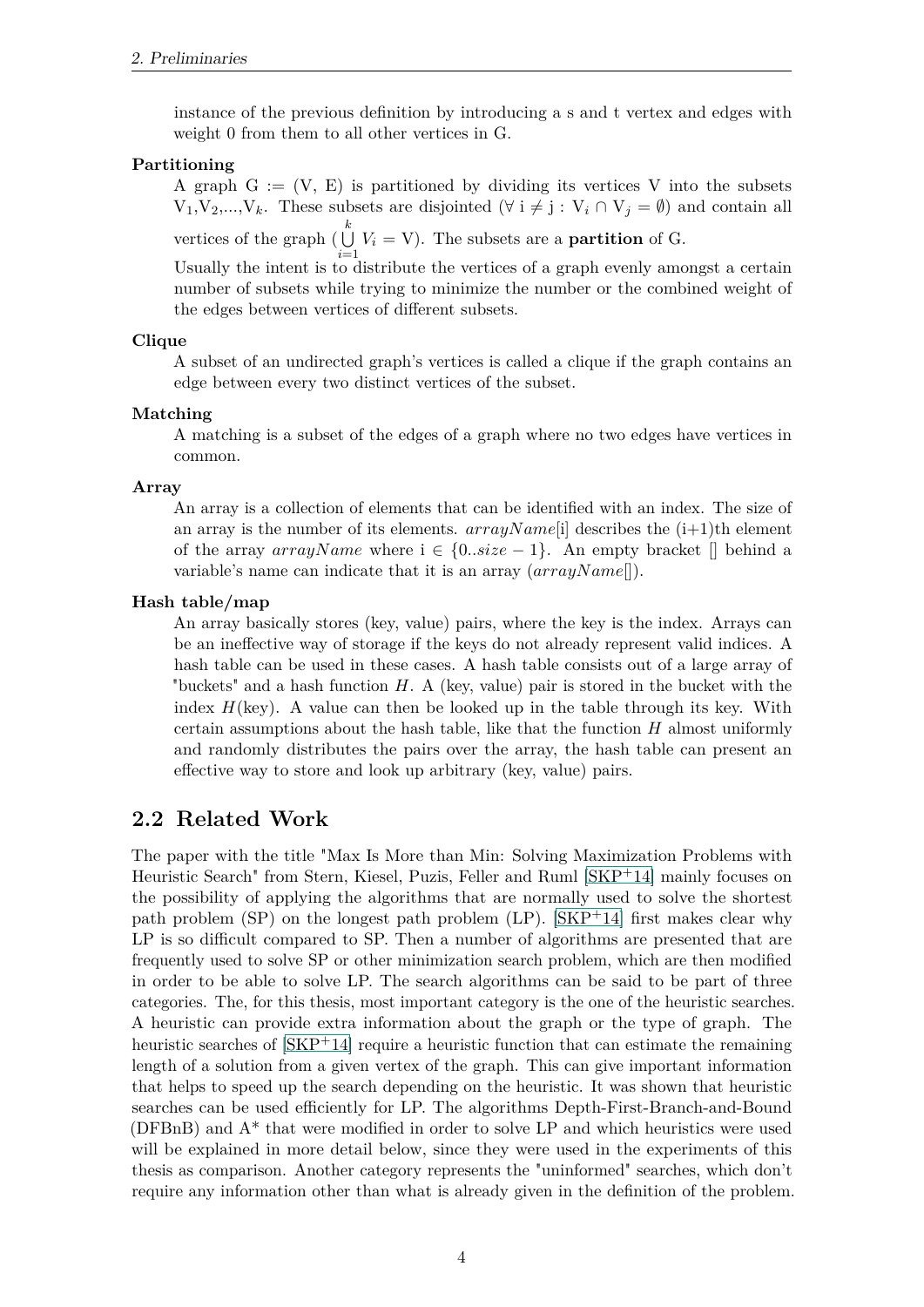instance of the previous definition by introducing a s and t vertex and edges with weight 0 from them to all other vertices in G.

### **Partitioning**

A graph  $G := (V, E)$  is partitioned by dividing its vertices V into the subsets  $V_1, V_2, ..., V_k$ . These subsets are disjointed  $(\forall i \neq j : V_i \cap V_j = \emptyset)$  and contain all vertices of the graph ( $\bigcup^k$  $\bigcup_{i=1}$  *V<sub>i</sub>* = *V*). The subsets are a **partition** of G.

Usually the intent is to distribute the vertices of a graph evenly amongst a certain number of subsets while trying to minimize the number or the combined weight of the edges between vertices of different subsets.

#### **Clique**

A subset of an undirected graph's vertices is called a clique if the graph contains an edge between every two distinct vertices of the subset.

#### **Matching**

A matching is a subset of the edges of a graph where no two edges have vertices in common.

#### **Array**

An array is a collection of elements that can be identified with an index. The size of an array is the number of its elements.  $arrayName[i]$  describes the  $(i+1)$ <sup>th</sup> element of the array  $arrayName$  where  $i \in \{0..size-1\}$ . An empty bracket  $[]$  behind a variable's name can indicate that it is an array (*arrayN ame*[]).

#### **Hash table/map**

An array basically stores (key, value) pairs, where the key is the index. Arrays can be an ineffective way of storage if the keys do not already represent valid indices. A hash table can be used in these cases. A hash table consists out of a large array of "buckets" and a hash function *H*. A (key, value) pair is stored in the bucket with the index  $H(\text{key})$ . A value can then be looked up in the table through its key. With certain assumptions about the hash table, like that the function *H* almost uniformly and randomly distributes the pairs over the array, the hash table can present an effective way to store and look up arbitrary (key, value) pairs.

# <span id="page-11-0"></span>**2.2 Related Work**

The paper with the title "Max Is More than Min: Solving Maximization Problems with Heuristic Search" from Stern, Kiesel, Puzis, Feller and Ruml [\[SKP](#page-44-10)+14] mainly focuses on the possibility of applying the algorithms that are normally used to solve the shortest path problem (SP) on the longest path problem (LP). [\[SKP](#page-44-10)+14] first makes clear why LP is so difficult compared to SP. Then a number of algorithms are presented that are frequently used to solve SP or other minimization search problem, which are then modified in order to be able to solve LP. The search algorithms can be said to be part of three categories. The, for this thesis, most important category is the one of the heuristic searches. A heuristic can provide extra information about the graph or the type of graph. The heuristic searches of  $\left[\text{SKP}^{\text{+}14}\right]$  require a heuristic function that can estimate the remaining length of a solution from a given vertex of the graph. This can give important information that helps to speed up the search depending on the heuristic. It was shown that heuristic searches can be used efficiently for LP. The algorithms Depth-First-Branch-and-Bound ( $DFBnB$ ) and  $A^*$  that were modified in order to solve LP and which heuristics were used will be explained in more detail below, since they were used in the experiments of this thesis as comparison. Another category represents the "uninformed" searches, which don't require any information other than what is already given in the definition of the problem.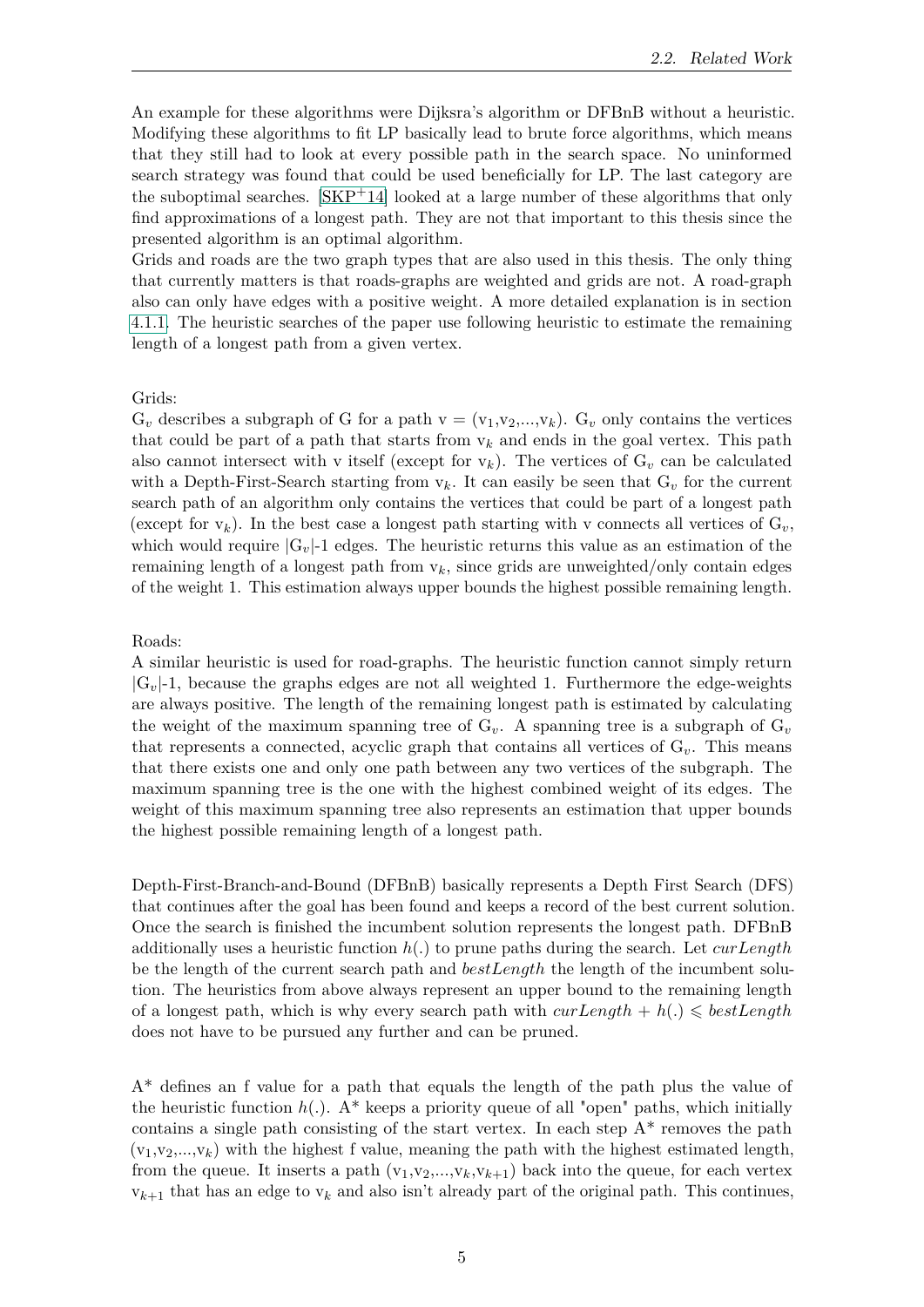An example for these algorithms were Dijksra's algorithm or DFBnB without a heuristic. Modifying these algorithms to fit LP basically lead to brute force algorithms, which means that they still had to look at every possible path in the search space. No uninformed search strategy was found that could be used beneficially for LP. The last category are the suboptimal searches.  $[SKP^+14]$  $[SKP^+14]$  looked at a large number of these algorithms that only find approximations of a longest path. They are not that important to this thesis since the presented algorithm is an optimal algorithm.

Grids and roads are the two graph types that are also used in this thesis. The only thing that currently matters is that roads-graphs are weighted and grids are not. A road-graph also can only have edges with a positive weight. A more detailed explanation is in section [4.1.1.](#page-28-2) The heuristic searches of the paper use following heuristic to estimate the remaining length of a longest path from a given vertex.

#### Grids:

 $G_v$  describes a subgraph of G for a path  $v = (v_1,v_2,...,v_k)$ .  $G_v$  only contains the vertices that could be part of a path that starts from  $v_k$  and ends in the goal vertex. This path also cannot intersect with v itself (except for  $v_k$ ). The vertices of  $G_v$  can be calculated with a Depth-First-Search starting from  $v_k$ . It can easily be seen that  $G_v$  for the current search path of an algorithm only contains the vertices that could be part of a longest path (except for  $v_k$ ). In the best case a longest path starting with v connects all vertices of  $G_v$ , which would require  $|G_v|$ -1 edges. The heuristic returns this value as an estimation of the remaining length of a longest path from  $v_k$ , since grids are unweighted/only contain edges of the weight 1. This estimation always upper bounds the highest possible remaining length.

#### Roads:

A similar heuristic is used for road-graphs. The heuristic function cannot simply return  $|G_v|$ -1, because the graphs edges are not all weighted 1. Furthermore the edge-weights are always positive. The length of the remaining longest path is estimated by calculating the weight of the maximum spanning tree of  $G_v$ . A spanning tree is a subgraph of  $G_v$ that represents a connected, acyclic graph that contains all vertices of  $G_v$ . This means that there exists one and only one path between any two vertices of the subgraph. The maximum spanning tree is the one with the highest combined weight of its edges. The weight of this maximum spanning tree also represents an estimation that upper bounds the highest possible remaining length of a longest path.

Depth-First-Branch-and-Bound (DFBnB) basically represents a Depth First Search (DFS) that continues after the goal has been found and keeps a record of the best current solution. Once the search is finished the incumbent solution represents the longest path. DFBnB additionally uses a heuristic function *h*(*.*) to prune paths during the search. Let *curLength* be the length of the current search path and *bestLength* the length of the incumbent solution. The heuristics from above always represent an upper bound to the remaining length of a longest path, which is why every search path with  $\text{curl}\,\text{length} + h(.) \leq \text{bestLength}$ does not have to be pursued any further and can be pruned.

A\* defines an f value for a path that equals the length of the path plus the value of the heuristic function  $h(.)$ . A<sup>\*</sup> keeps a priority queue of all "open" paths, which initially contains a single path consisting of the start vertex. In each step  $A^*$  removes the path  $(v_1,v_2,...,v_k)$  with the highest f value, meaning the path with the highest estimated length, from the queue. It inserts a path  $(v_1,v_2,...,v_k,v_{k+1})$  back into the queue, for each vertex  $v_{k+1}$  that has an edge to  $v_k$  and also isn't already part of the original path. This continues,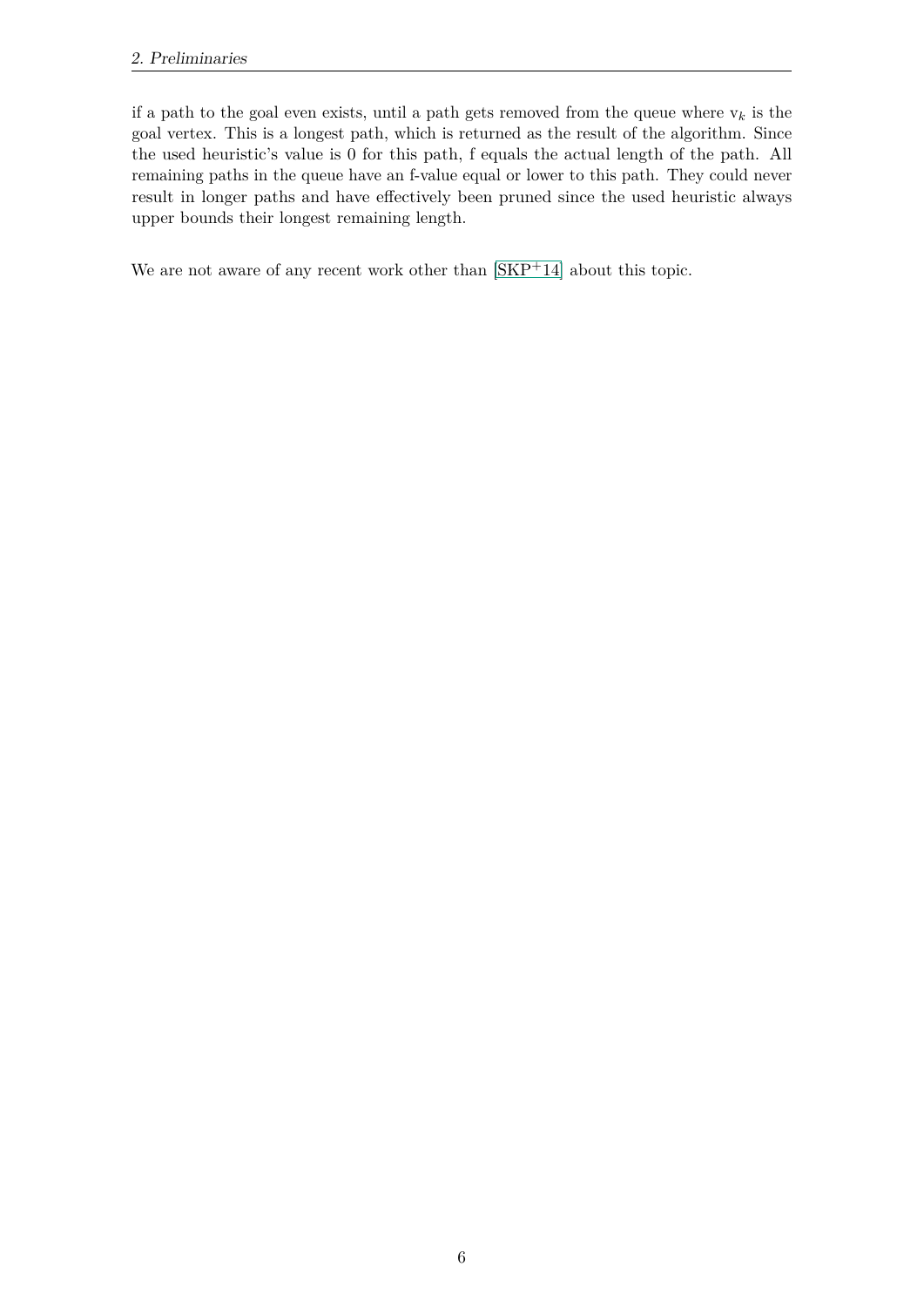if a path to the goal even exists, until a path gets removed from the queue where  $v_k$  is the goal vertex. This is a longest path, which is returned as the result of the algorithm. Since the used heuristic's value is 0 for this path, f equals the actual length of the path. All remaining paths in the queue have an f-value equal or lower to this path. They could never result in longer paths and have effectively been pruned since the used heuristic always upper bounds their longest remaining length.

We are not aware of any recent work other than  $|{\rm SKP}^+14|$  about this topic.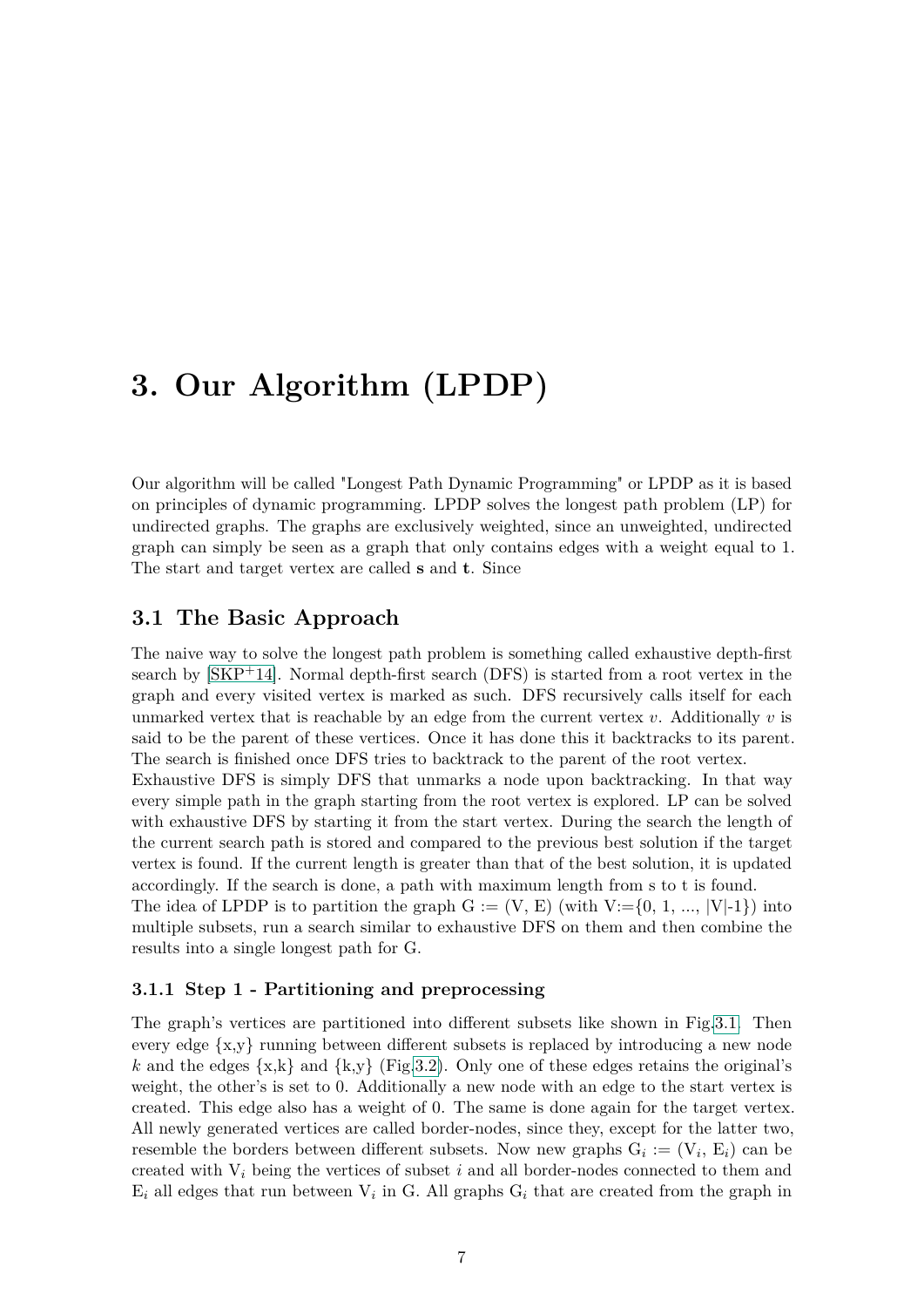# <span id="page-14-0"></span>**3. Our Algorithm (LPDP)**

Our algorithm will be called "Longest Path Dynamic Programming" or LPDP as it is based on principles of dynamic programming. LPDP solves the longest path problem (LP) for undirected graphs. The graphs are exclusively weighted, since an unweighted, undirected graph can simply be seen as a graph that only contains edges with a weight equal to 1. The start and target vertex are called **s** and **t**. Since

# <span id="page-14-1"></span>**3.1 The Basic Approach**

The naive way to solve the longest path problem is something called exhaustive depth-first search by [\[SKP](#page-44-10)+14]. Normal depth-first search (DFS) is started from a root vertex in the graph and every visited vertex is marked as such. DFS recursively calls itself for each unmarked vertex that is reachable by an edge from the current vertex *v*. Additionally *v* is said to be the parent of these vertices. Once it has done this it backtracks to its parent. The search is finished once DFS tries to backtrack to the parent of the root vertex.

Exhaustive DFS is simply DFS that unmarks a node upon backtracking. In that way every simple path in the graph starting from the root vertex is explored. LP can be solved with exhaustive DFS by starting it from the start vertex. During the search the length of the current search path is stored and compared to the previous best solution if the target vertex is found. If the current length is greater than that of the best solution, it is updated accordingly. If the search is done, a path with maximum length from s to t is found.

The idea of LPDP is to partition the graph  $G := (V, E)$  (with  $V := \{0, 1, ..., |V|-1\}$ ) into multiple subsets, run a search similar to exhaustive DFS on them and then combine the results into a single longest path for G.

# <span id="page-14-2"></span>**3.1.1 Step 1 - Partitioning and preprocessing**

The graph's vertices are partitioned into different subsets like shown in Fig[.3.1.](#page-15-0) Then every edge  $\{x,y\}$  running between different subsets is replaced by introducing a new node k and the edges  $\{x,k\}$  and  $\{k,y\}$  (Fig[.3.2\)](#page-15-1). Only one of these edges retains the original's weight, the other's is set to 0. Additionally a new node with an edge to the start vertex is created. This edge also has a weight of 0. The same is done again for the target vertex. All newly generated vertices are called border-nodes, since they, except for the latter two, resemble the borders between different subsets. Now new graphs  $G_i := (V_i, E_i)$  can be created with V*<sup>i</sup>* being the vertices of subset *i* and all border-nodes connected to them and  $E_i$  all edges that run between  $V_i$  in G. All graphs  $G_i$  that are created from the graph in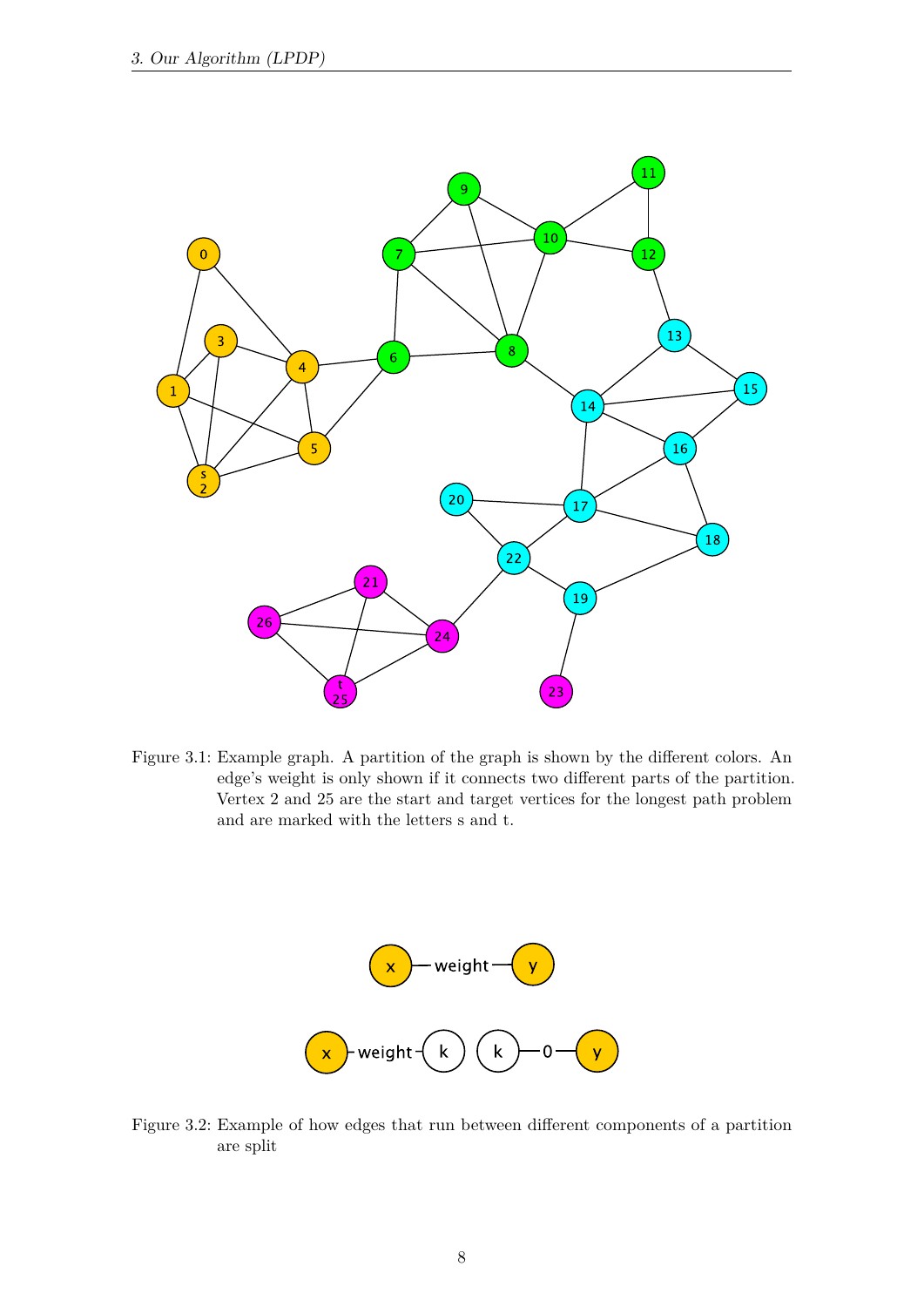

<span id="page-15-0"></span>Figure 3.1: Example graph. A partition of the graph is shown by the different colors. An edge's weight is only shown if it connects two different parts of the partition. Vertex 2 and 25 are the start and target vertices for the longest path problem and are marked with the letters s and t.



<span id="page-15-1"></span>Figure 3.2: Example of how edges that run between different components of a partition are split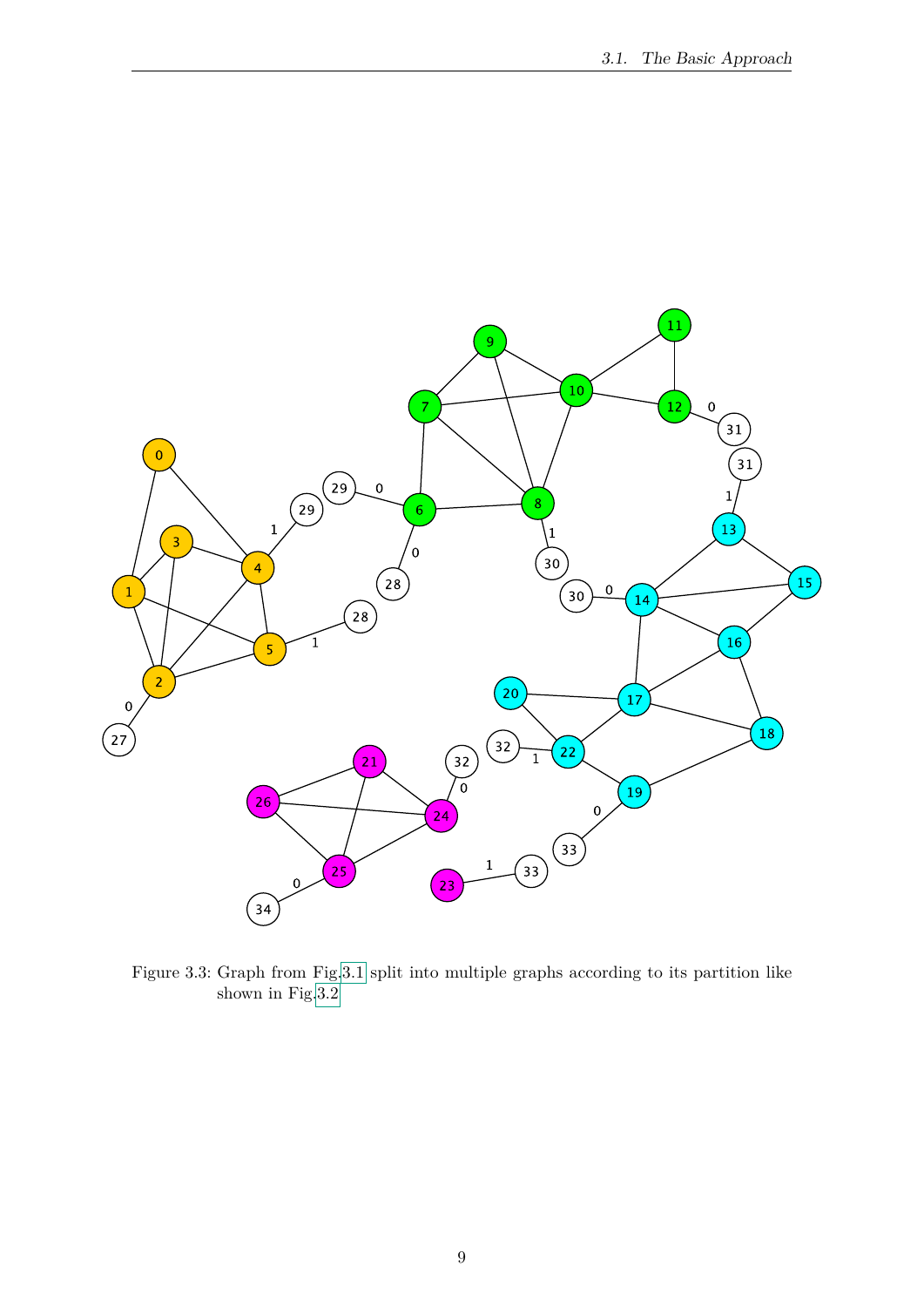

<span id="page-16-0"></span>Figure 3.3: Graph from Fig[.3.1](#page-15-0) split into multiple graphs according to its partition like shown in Fig[.3.2](#page-15-1)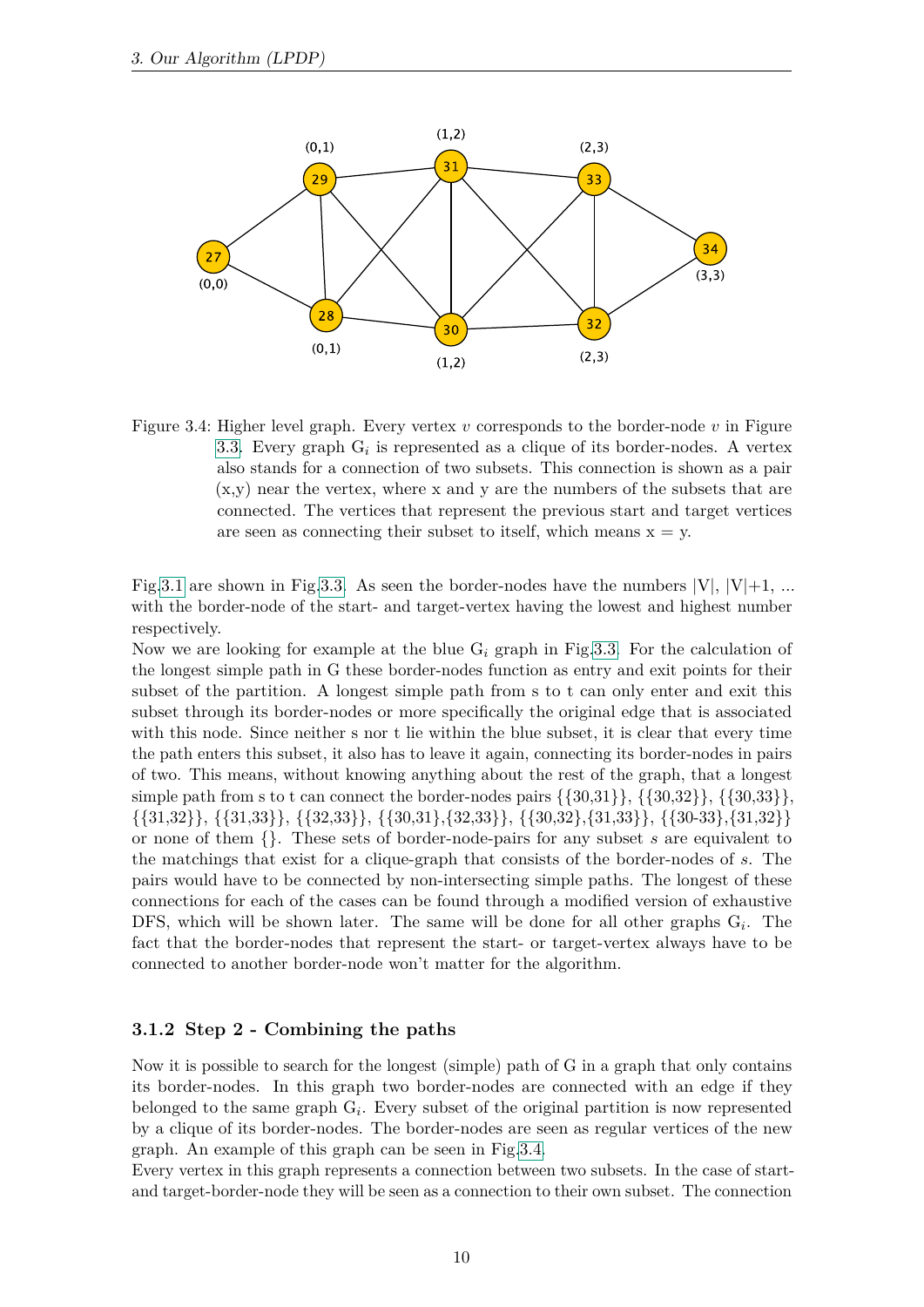

<span id="page-17-1"></span>Figure 3.4: Higher level graph. Every vertex *v* corresponds to the border-node *v* in Figure [3.3.](#page-16-0) Every graph  $G_i$  is represented as a clique of its border-nodes. A vertex also stands for a connection of two subsets. This connection is shown as a pair (x,y) near the vertex, where x and y are the numbers of the subsets that are connected. The vertices that represent the previous start and target vertices are seen as connecting their subset to itself, which means  $x = y$ .

Fig[.3.1](#page-15-0) are shown in Fig[.3.3.](#page-16-0) As seen the border-nodes have the numbers  $|V|, |V|+1, ...$ with the border-node of the start- and target-vertex having the lowest and highest number respectively.

Now we are looking for example at the blue  $G_i$  graph in Fig[.3.3.](#page-16-0) For the calculation of the longest simple path in G these border-nodes function as entry and exit points for their subset of the partition. A longest simple path from s to t can only enter and exit this subset through its border-nodes or more specifically the original edge that is associated with this node. Since neither s nor t lie within the blue subset, it is clear that every time the path enters this subset, it also has to leave it again, connecting its border-nodes in pairs of two. This means, without knowing anything about the rest of the graph, that a longest simple path from s to t can connect the border-nodes pairs  $\{\{30,31\}, \{\{30,32\}\}, \{\{30,33\}\}\}\$ {{31,32}}, {{31,33}}, {{32,33}}, {{30,31},{32,33}}, {{30,32},{31,33}}, {{30-33},{31,32}} or none of them {}. These sets of border-node-pairs for any subset *s* are equivalent to the matchings that exist for a clique-graph that consists of the border-nodes of *s*. The pairs would have to be connected by non-intersecting simple paths. The longest of these connections for each of the cases can be found through a modified version of exhaustive DFS, which will be shown later. The same will be done for all other graphs G*<sup>i</sup>* . The fact that the border-nodes that represent the start- or target-vertex always have to be connected to another border-node won't matter for the algorithm.

# <span id="page-17-0"></span>**3.1.2 Step 2 - Combining the paths**

Now it is possible to search for the longest (simple) path of G in a graph that only contains its border-nodes. In this graph two border-nodes are connected with an edge if they belonged to the same graph G*<sup>i</sup>* . Every subset of the original partition is now represented by a clique of its border-nodes. The border-nodes are seen as regular vertices of the new graph. An example of this graph can be seen in Fig[.3.4.](#page-17-1)

Every vertex in this graph represents a connection between two subsets. In the case of startand target-border-node they will be seen as a connection to their own subset. The connection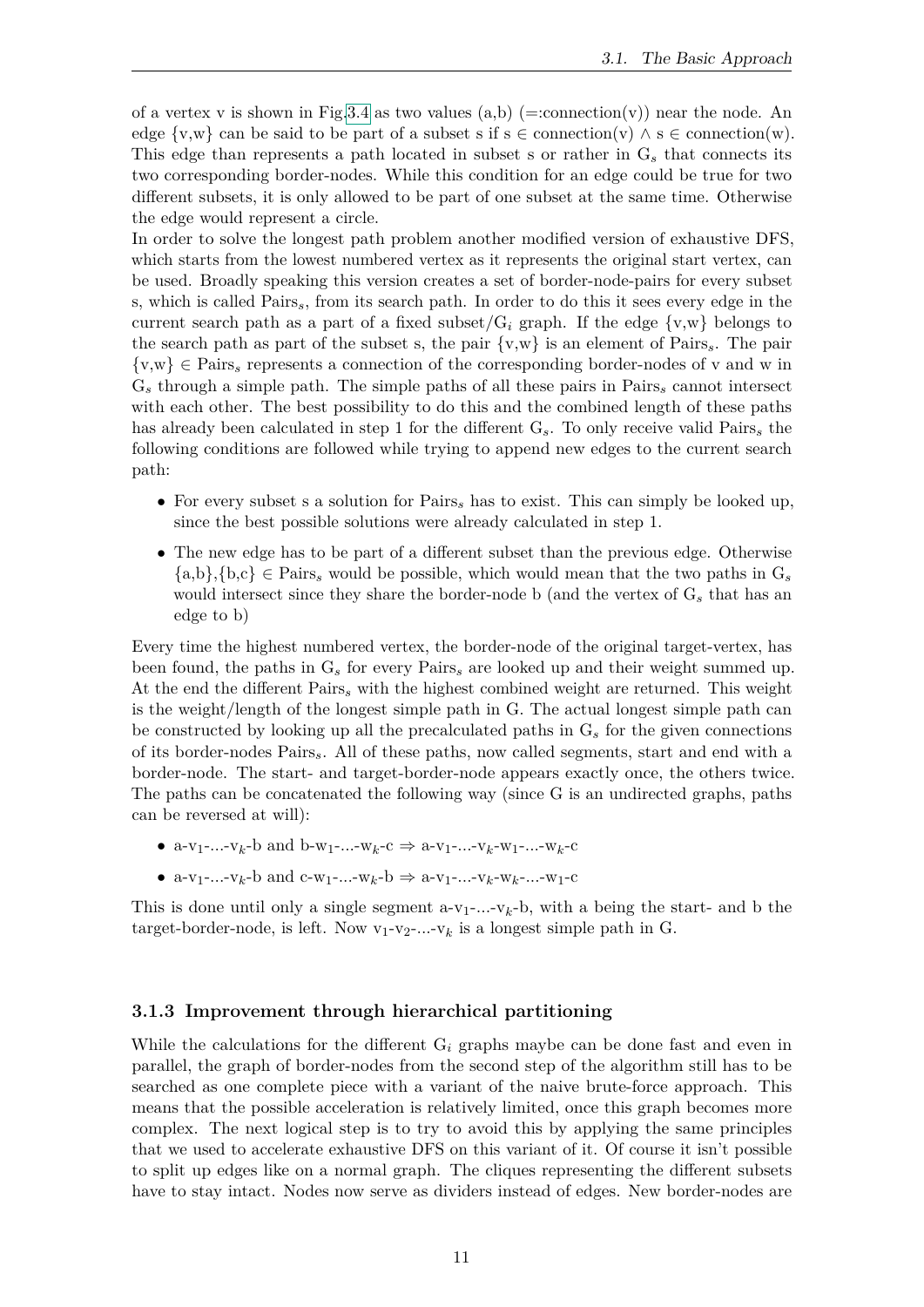of a vertex v is shown in Fig[.3.4](#page-17-1) as two values  $(a,b)$  (=:connection(v)) near the node. An edge  $\{v,w\}$  can be said to be part of a subset s if  $s \in \text{connection}(v) \land s \in \text{connection}(w)$ . This edge than represents a path located in subset s or rather in G*<sup>s</sup>* that connects its two corresponding border-nodes. While this condition for an edge could be true for two different subsets, it is only allowed to be part of one subset at the same time. Otherwise the edge would represent a circle.

In order to solve the longest path problem another modified version of exhaustive DFS, which starts from the lowest numbered vertex as it represents the original start vertex, can be used. Broadly speaking this version creates a set of border-node-pairs for every subset s, which is called Pairs*s*, from its search path. In order to do this it sees every edge in the current search path as a part of a fixed subset/ $G_i$  graph. If the edge  $\{v,w\}$  belongs to the search path as part of the subset s, the pair {v,w} is an element of Pairs*s*. The pair {v,w} ∈ Pairs*<sup>s</sup>* represents a connection of the corresponding border-nodes of v and w in G*<sup>s</sup>* through a simple path. The simple paths of all these pairs in Pairs*<sup>s</sup>* cannot intersect with each other. The best possibility to do this and the combined length of these paths has already been calculated in step 1 for the different G*s*. To only receive valid Pairs*<sup>s</sup>* the following conditions are followed while trying to append new edges to the current search path:

- For every subset s a solution for Pairs*<sup>s</sup>* has to exist. This can simply be looked up, since the best possible solutions were already calculated in step 1.
- The new edge has to be part of a different subset than the previous edge. Otherwise  $\{a,b\},\{b,c\} \in \text{Pairs}_s$  would be possible, which would mean that the two paths in  $G_s$ would intersect since they share the border-node b (and the vertex of G*<sup>s</sup>* that has an edge to b)

Every time the highest numbered vertex, the border-node of the original target-vertex, has been found, the paths in G*<sup>s</sup>* for every Pairs*<sup>s</sup>* are looked up and their weight summed up. At the end the different Pairs*<sup>s</sup>* with the highest combined weight are returned. This weight is the weight/length of the longest simple path in G. The actual longest simple path can be constructed by looking up all the precalculated paths in G*<sup>s</sup>* for the given connections of its border-nodes Pairs*s*. All of these paths, now called segments, start and end with a border-node. The start- and target-border-node appears exactly once, the others twice. The paths can be concatenated the following way (since G is an undirected graphs, paths can be reversed at will):

- a-v1-...-v*k*-b and b-w1-...-w*k*-c ⇒ a-v1-...-v*k*-w1-...-w*k*-c
- a-v<sub>1</sub>-...-v<sub>k</sub>-b and c-w<sub>1</sub>-...-w<sub>k</sub>-b ⇒ a-v<sub>1</sub>-...-v<sub>k</sub>-w<sub>k</sub>-...-w<sub>1</sub>-c

This is done until only a single segment  $a-v_1$ -...- $v_k$ -b, with a being the start- and b the target-border-node, is left. Now  $v_1-v_2$ -...- $v_k$  is a longest simple path in G.

# <span id="page-18-0"></span>**3.1.3 Improvement through hierarchical partitioning**

While the calculations for the different G*<sup>i</sup>* graphs maybe can be done fast and even in parallel, the graph of border-nodes from the second step of the algorithm still has to be searched as one complete piece with a variant of the naive brute-force approach. This means that the possible acceleration is relatively limited, once this graph becomes more complex. The next logical step is to try to avoid this by applying the same principles that we used to accelerate exhaustive DFS on this variant of it. Of course it isn't possible to split up edges like on a normal graph. The cliques representing the different subsets have to stay intact. Nodes now serve as dividers instead of edges. New border-nodes are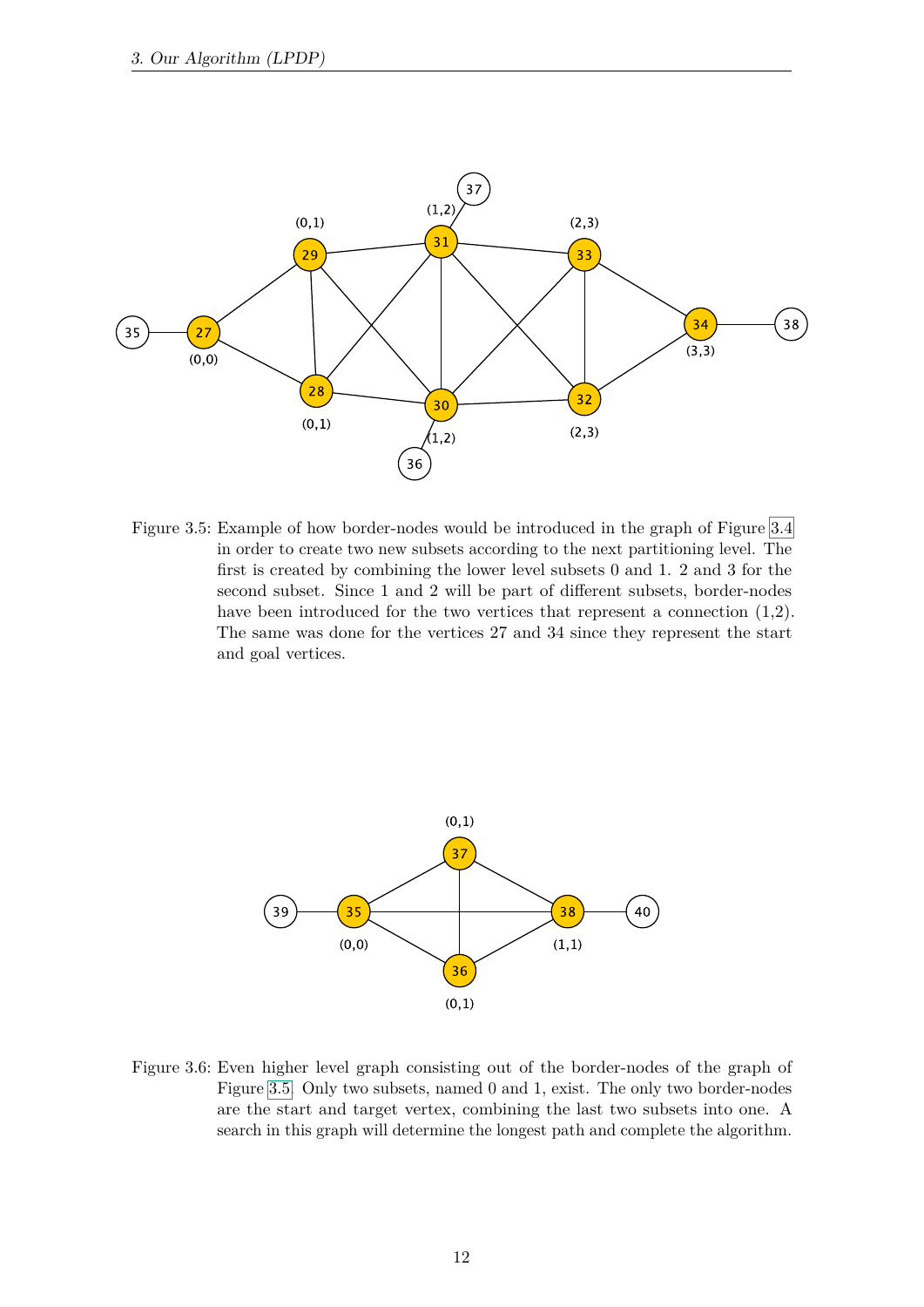

<span id="page-19-0"></span>Figure 3.5: Example of how border-nodes would be introduced in the graph of Figure [3.4](#page-17-1) in order to create two new subsets according to the next partitioning level. The first is created by combining the lower level subsets 0 and 1. 2 and 3 for the second subset. Since 1 and 2 will be part of different subsets, border-nodes have been introduced for the two vertices that represent a connection  $(1,2)$ . The same was done for the vertices 27 and 34 since they represent the start and goal vertices.



<span id="page-19-1"></span>Figure 3.6: Even higher level graph consisting out of the border-nodes of the graph of Figure [3.5.](#page-19-0) Only two subsets, named 0 and 1, exist. The only two border-nodes are the start and target vertex, combining the last two subsets into one. A search in this graph will determine the longest path and complete the algorithm.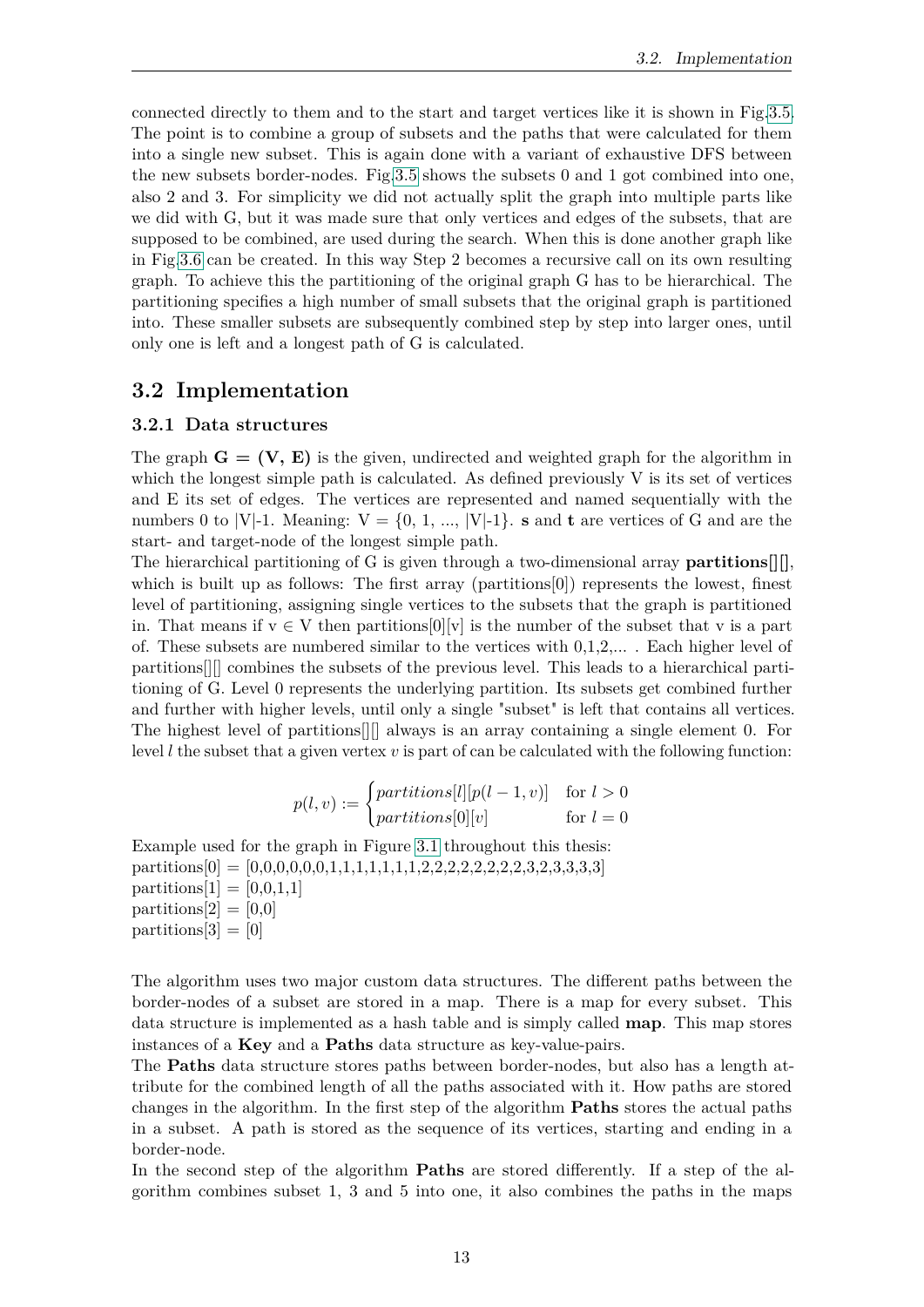connected directly to them and to the start and target vertices like it is shown in Fig[.3.5.](#page-19-0) The point is to combine a group of subsets and the paths that were calculated for them into a single new subset. This is again done with a variant of exhaustive DFS between the new subsets border-nodes. Fig[.3.5](#page-19-0) shows the subsets 0 and 1 got combined into one, also 2 and 3. For simplicity we did not actually split the graph into multiple parts like we did with G, but it was made sure that only vertices and edges of the subsets, that are supposed to be combined, are used during the search. When this is done another graph like in Fig[.3.6](#page-19-1) can be created. In this way Step 2 becomes a recursive call on its own resulting graph. To achieve this the partitioning of the original graph G has to be hierarchical. The partitioning specifies a high number of small subsets that the original graph is partitioned into. These smaller subsets are subsequently combined step by step into larger ones, until only one is left and a longest path of G is calculated.

# <span id="page-20-0"></span>**3.2 Implementation**

# <span id="page-20-1"></span>**3.2.1 Data structures**

The graph  $\mathbf{G} = (\mathbf{V}, \mathbf{E})$  is the given, undirected and weighted graph for the algorithm in which the longest simple path is calculated. As defined previously V is its set of vertices and E its set of edges. The vertices are represented and named sequentially with the numbers 0 to |V|-1. Meaning:  $V = \{0, 1, ..., |V|-1\}$ . **s** and **t** are vertices of G and are the start- and target-node of the longest simple path.

The hierarchical partitioning of G is given through a two-dimensional array **partitions[][]**, which is built up as follows: The first array (partitions  $[0]$ ) represents the lowest, finest level of partitioning, assigning single vertices to the subsets that the graph is partitioned in. That means if  $v \in V$  then partitions  $[0][v]$  is the number of the subset that v is a part of. These subsets are numbered similar to the vertices with  $0,1,2,...$ . Each higher level of partitions[][] combines the subsets of the previous level. This leads to a hierarchical partitioning of G. Level 0 represents the underlying partition. Its subsets get combined further and further with higher levels, until only a single "subset" is left that contains all vertices. The highest level of partitions[][] always is an array containing a single element 0. For level *l* the subset that a given vertex *v* is part of can be calculated with the following function:

$$
p(l, v) := \begin{cases} partitions[l][p(l - 1, v)] & \text{for } l > 0\\ partitions[0][v] & \text{for } l = 0 \end{cases}
$$

Example used for the graph in Figure [3.1](#page-15-0) throughout this thesis: partitions[0] = [0,0,0,0,0,0,1,1,1,1,1,1,1,2,2,2,2,2,2,2,2,3,2,3,3,3,3] partitions[1] =  $[0,0,1,1]$ partitions[2]  $=$  [0,0]  $partitions[3] = [0]$ 

The algorithm uses two major custom data structures. The different paths between the border-nodes of a subset are stored in a map. There is a map for every subset. This data structure is implemented as a hash table and is simply called **map**. This map stores instances of a **Key** and a **Paths** data structure as key-value-pairs.

The **Paths** data structure stores paths between border-nodes, but also has a length attribute for the combined length of all the paths associated with it. How paths are stored changes in the algorithm. In the first step of the algorithm **Paths** stores the actual paths in a subset. A path is stored as the sequence of its vertices, starting and ending in a border-node.

In the second step of the algorithm **Paths** are stored differently. If a step of the algorithm combines subset 1, 3 and 5 into one, it also combines the paths in the maps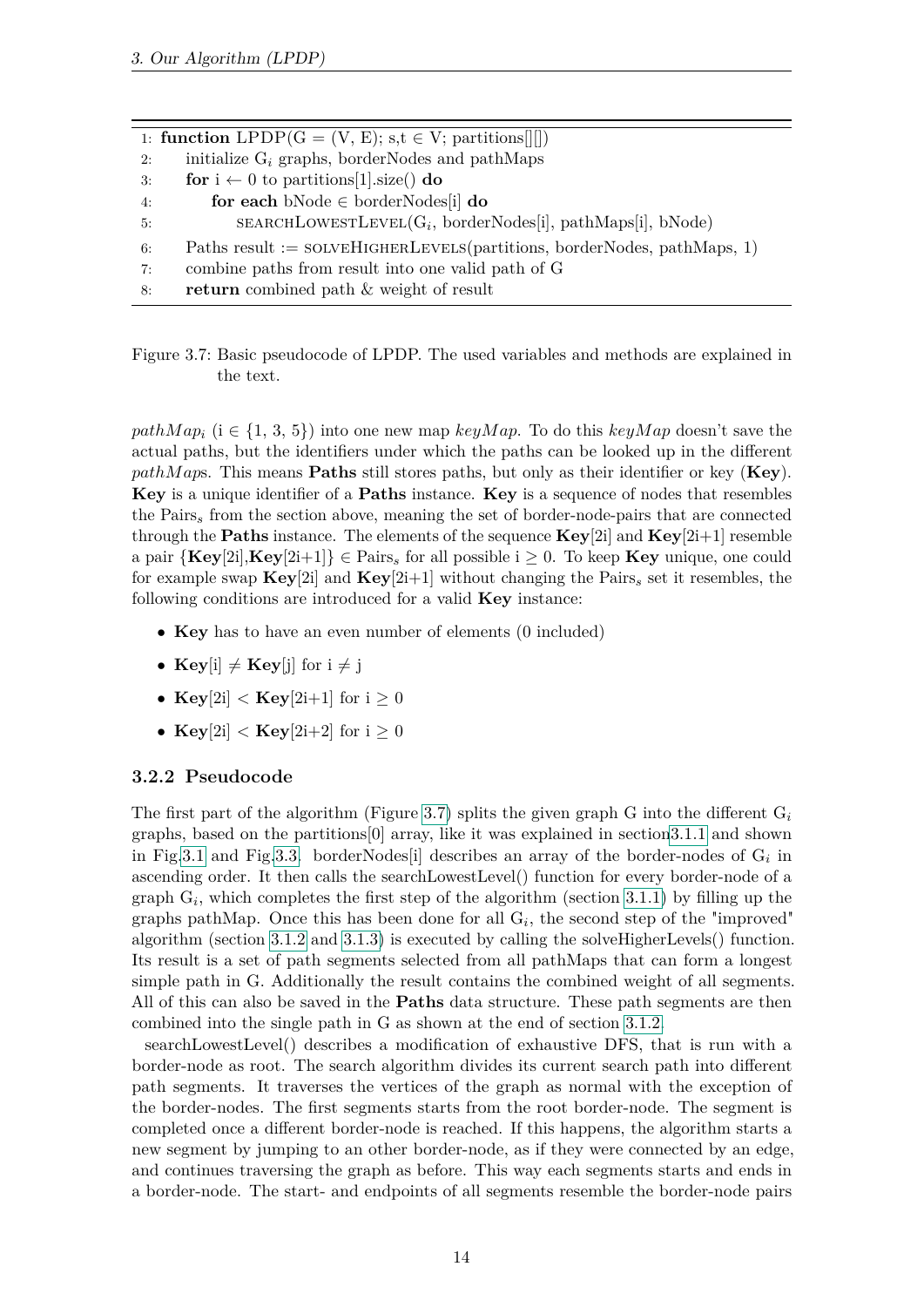1: **function** LPDP( $G = (V, E)$ ; s,t  $\in V$ ; partitions[[[]) 2: initialize G*<sup>i</sup>* graphs, borderNodes and pathMaps 3: **for**  $i \leftarrow 0$  to partitions[1].size() **do** 4: **for each** bNode ∈ borderNodes[i] **do** 5: SEARCHLOWESTLEVEL(G<sub>i</sub>, borderNodes[i], pathMaps[i], bNode) 6: Paths result :=  $\text{SOLVEHIGHERLEVELS}(\text{partitions}, \text{borderNodes}, \text{pathMaps}, 1)$ 7: combine paths from result into one valid path of G 8: **return** combined path & weight of result

<span id="page-21-1"></span>Figure 3.7: Basic pseudocode of LPDP. The used variables and methods are explained in the text.

*pathMap<sub>i</sub>* ( $i \in \{1, 3, 5\}$ ) into one new map *keyMap*. To do this *keyMap* doesn't save the actual paths, but the identifiers under which the paths can be looked up in the different *pathM ap*s. This means **Paths** still stores paths, but only as their identifier or key (**Key**). **Key** is a unique identifier of a **Paths** instance. **Key** is a sequence of nodes that resembles the Pairs*<sup>s</sup>* from the section above, meaning the set of border-node-pairs that are connected through the **Paths** instance. The elements of the sequence  $\bf{Key}[2i]$  and  $\bf{Key}[2i+1]$  resemble a pair  ${Key}[2i], Key[2i+1] \in \text{Pairs}_s$  for all possible  $i \geq 0$ . To keep **Key** unique, one could for example swap  $\mathbf{Key}[2i]$  and  $\mathbf{Key}[2i+1]$  without changing the Pairs<sub>s</sub> set it resembles, the following conditions are introduced for a valid **Key** instance:

- **Key** has to have an even number of elements (0 included)
- $Key[i] \neq Key[j]$  for  $i \neq j$
- $\text{Key}[2i] < \text{Key}[2i+1]$  for  $i > 0$
- $\text{Key}[2i] < \text{Key}[2i+2]$  for  $i \geq 0$

# <span id="page-21-0"></span>**3.2.2 Pseudocode**

The first part of the algorithm (Figure [3.7\)](#page-21-1) splits the given graph G into the different G*<sup>i</sup>* graphs, based on the partitions[0] array, like it was explained in sectio[n3.1.1](#page-14-2) and shown in Fig[.3.1](#page-15-0) and Fig[.3.3.](#page-16-0) borderNodes<sup>[i]</sup> describes an array of the border-nodes of  $G_i$  in ascending order. It then calls the searchLowestLevel() function for every border-node of a graph  $G_i$ , which completes the first step of the algorithm (section [3.1.1\)](#page-14-2) by filling up the graphs pathMap. Once this has been done for all G*<sup>i</sup>* , the second step of the "improved" algorithm (section [3.1.2](#page-17-0) and [3.1.3\)](#page-18-0) is executed by calling the solveHigherLevels() function. Its result is a set of path segments selected from all pathMaps that can form a longest simple path in G. Additionally the result contains the combined weight of all segments. All of this can also be saved in the **Paths** data structure. These path segments are then combined into the single path in G as shown at the end of section [3.1.2.](#page-17-0)

searchLowestLevel() describes a modification of exhaustive DFS, that is run with a border-node as root. The search algorithm divides its current search path into different path segments. It traverses the vertices of the graph as normal with the exception of the border-nodes. The first segments starts from the root border-node. The segment is completed once a different border-node is reached. If this happens, the algorithm starts a new segment by jumping to an other border-node, as if they were connected by an edge, and continues traversing the graph as before. This way each segments starts and ends in a border-node. The start- and endpoints of all segments resemble the border-node pairs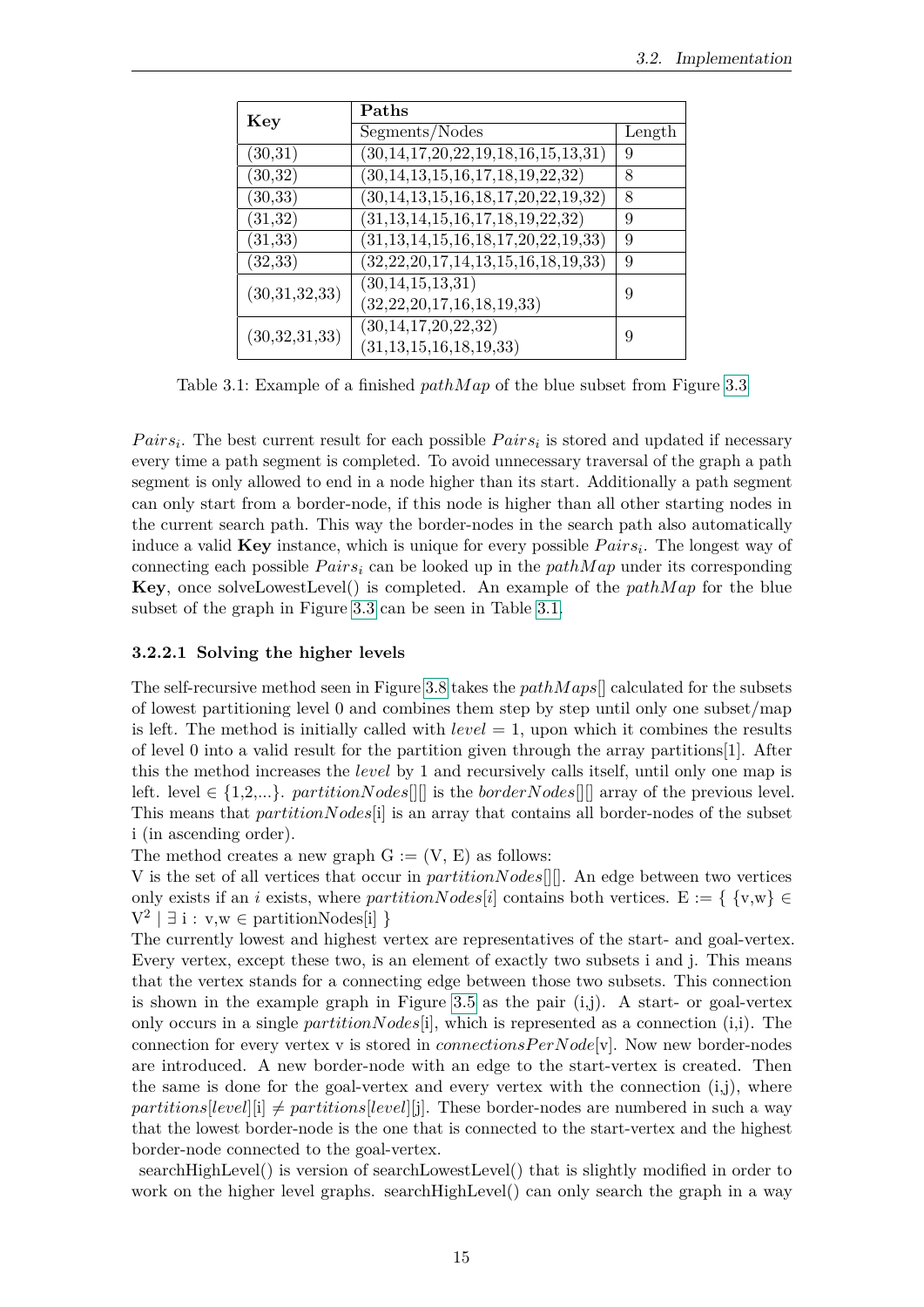| Key           | Paths                                          |        |
|---------------|------------------------------------------------|--------|
|               | Segments/Nodes                                 | Length |
| (30,31)       | (30,14,17,20,22,19,18,16,15,13,31)             | 9      |
| (30,32)       | $(30, 14, 13, 15, 16, 17, 18, 19, 22, 32)$     | 8      |
| (30, 33)      | $(30, 14, 13, 15, 16, 18, 17, 20, 22, 19, 32)$ | 8      |
| (31, 32)      | $(31, 13, 14, 15, 16, 17, 18, 19, 22, 32)$     | 9      |
| (31, 33)      | $(31, 13, 14, 15, 16, 18, 17, 20, 22, 19, 33)$ | 9      |
| (32, 33)      | $(32, 22, 20, 17, 14, 13, 15, 16, 18, 19, 33)$ | 9      |
| (30,31,32,33) | (30, 14, 15, 13, 31)                           | 9      |
|               | (32, 22, 20, 17, 16, 18, 19, 33)               |        |
| (30,32,31,33) | (30, 14, 17, 20, 22, 32)                       | 9      |
|               | (31, 13, 15, 16, 18, 19, 33)                   |        |

<span id="page-22-1"></span>Table 3.1: Example of a finished *pathMap* of the blue subset from Figure [3.3](#page-16-0)

*Pairs<sub>i</sub>*. The best current result for each possible *Pairs<sub>i</sub>* is stored and updated if necessary every time a path segment is completed. To avoid unnecessary traversal of the graph a path segment is only allowed to end in a node higher than its start. Additionally a path segment can only start from a border-node, if this node is higher than all other starting nodes in the current search path. This way the border-nodes in the search path also automatically induce a valid **Key** instance, which is unique for every possible  $Pairs_i$ . The longest way of connecting each possible  $Pairs_i$  can be looked up in the  $pathMap$  under its corresponding **Key**, once solveLowestLevel() is completed. An example of the *pathM ap* for the blue subset of the graph in Figure [3.3](#page-16-0) can be seen in Table [3.1.](#page-22-1)

#### <span id="page-22-0"></span>**3.2.2.1 Solving the higher levels**

The self-recursive method seen in Figure [3.8](#page-23-0) takes the *pathM aps*[] calculated for the subsets of lowest partitioning level 0 and combines them step by step until only one subset/map is left. The method is initially called with *level* = 1, upon which it combines the results of level 0 into a valid result for the partition given through the array partitions[1]. After this the method increases the *level* by 1 and recursively calls itself, until only one map is left. level  $\in \{1,2,...\}$ . *partitionNodes* $\in$  is the *borderNodes* $\in$  array of the previous level. This means that *partitionNodes*[i] is an array that contains all border-nodes of the subset i (in ascending order).

The method creates a new graph  $G := (V, E)$  as follows:

V is the set of all vertices that occur in *partitionNodes*[][]. An edge between two vertices only exists if an *i* exists, where *partitionNodes*[*i*] contains both vertices. E := { {v,w} ∈  $V^2 \mid \exists i : v, w \in$  partitionNodes[i] }

The currently lowest and highest vertex are representatives of the start- and goal-vertex. Every vertex, except these two, is an element of exactly two subsets i and j. This means that the vertex stands for a connecting edge between those two subsets. This connection is shown in the example graph in Figure [3.5](#page-19-0) as the pair  $(i,j)$ . A start- or goal-vertex only occurs in a single *partitionNodes*[i], which is represented as a connection (i,i). The connection for every vertex v is stored in *connectionsPerNode*[v]. Now new border-nodes are introduced. A new border-node with an edge to the start-vertex is created. Then the same is done for the goal-vertex and every vertex with the connection  $(i,j)$ , where  $partitions[level][i] \ne partitions[level][j]$ . These border-nodes are numbered in such a way that the lowest border-node is the one that is connected to the start-vertex and the highest border-node connected to the goal-vertex.

searchHighLevel() is version of searchLowestLevel() that is slightly modified in order to work on the higher level graphs. searchHighLevel() can only search the graph in a way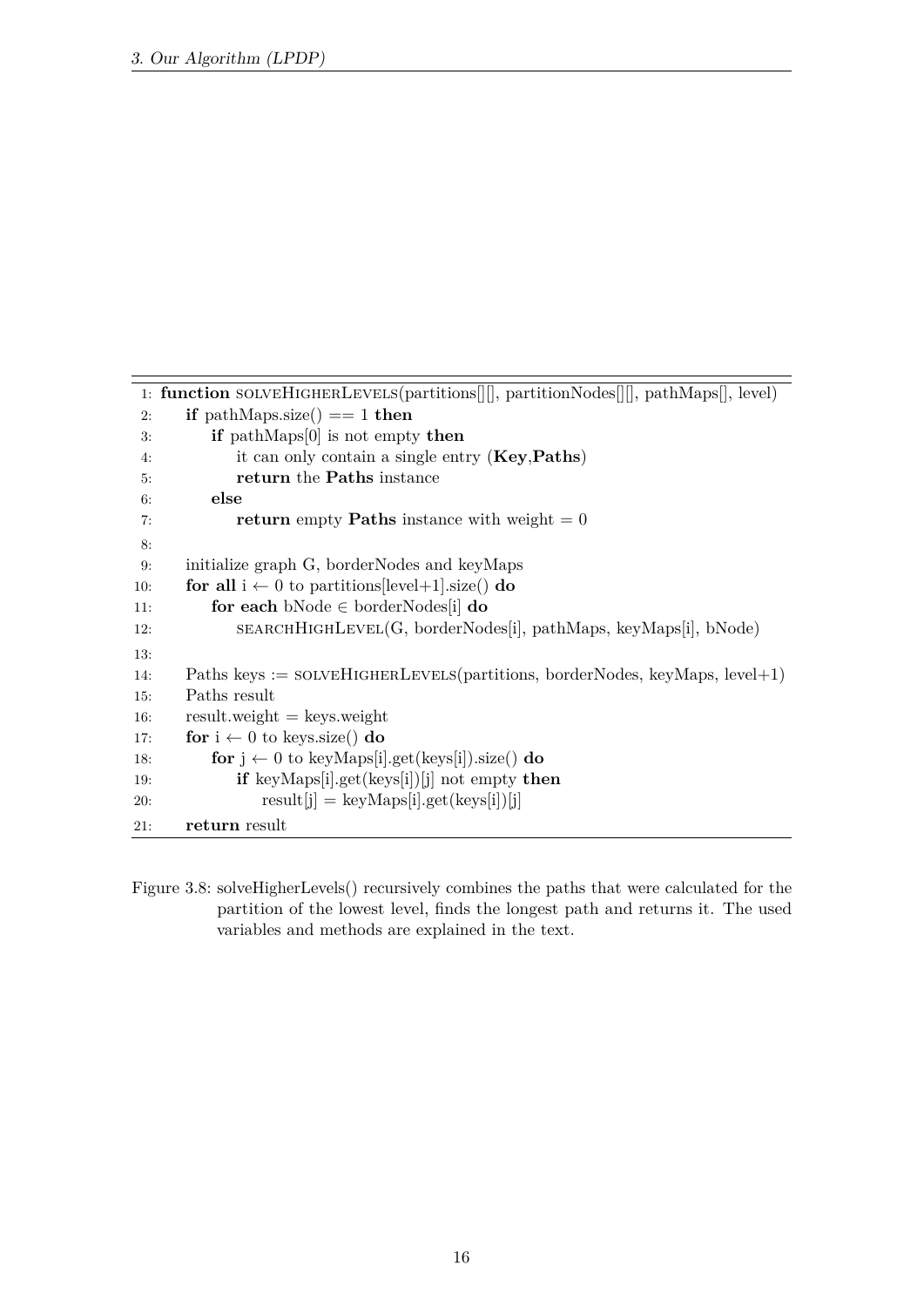```
1: function solveHigherLevels(partitions[][], partitionNodes[][], pathMaps[], level)
2: if pathMaps.size() == 1 then
3: if pathMaps[0] is not empty then
4: it can only contain a single entry (Key,Paths)
5: return the Paths instance
6: else
7: return empty Paths instance with weight = 08:
9: initialize graph G, borderNodes and keyMaps
10: for all i \leftarrow 0 to partitions[level+1].size() do
11: for each bNode ∈ borderNodes[i] do
12: SEARCHHIGHLEVEL(G, borderNodes[i], pathMaps, keyMaps[i], bNode)
13:
14: Paths keys := solveHigherLevels(partitions, borderNodes, keyMaps, level+1)
15: Paths result
16: result.weight = keys.weight
17: for i \leftarrow 0 to keys.size() do
18: for j \leftarrow 0 to keyMaps[i].get(keys[i]).size() do
19: if keyMaps[i].get(keys[i])[j] not empty then
20: result[j] = keyMaps[i].get(keys[i])[j]21: return result
```
<span id="page-23-0"></span>Figure 3.8: solveHigherLevels() recursively combines the paths that were calculated for the partition of the lowest level, finds the longest path and returns it. The used variables and methods are explained in the text.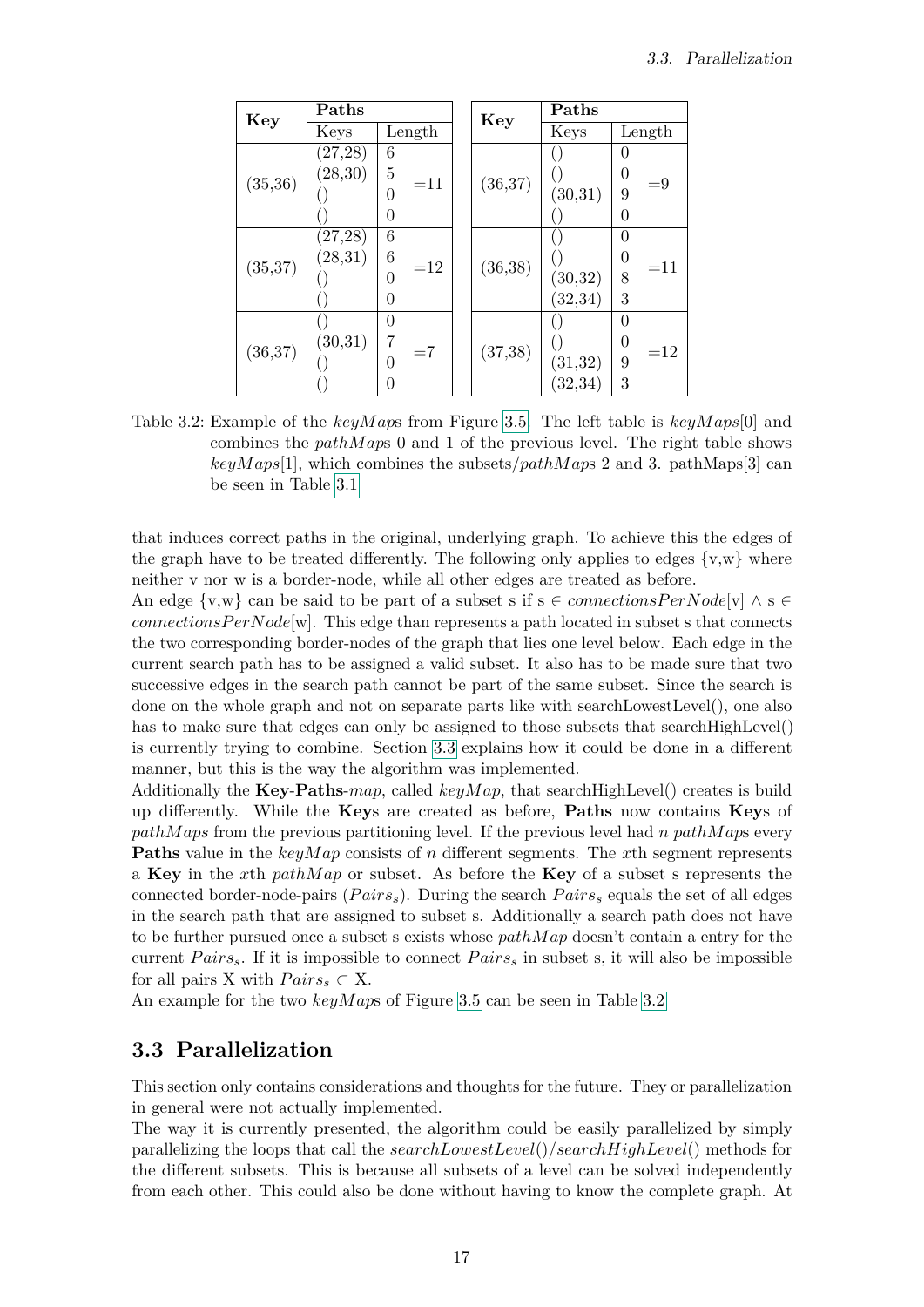| Key      | Paths    |            |  | Key      | Paths    |                         |  |  |
|----------|----------|------------|--|----------|----------|-------------------------|--|--|
|          | Keys     | Length     |  |          | Keys     | Length                  |  |  |
|          | (27, 28) | 6          |  |          |          | 0                       |  |  |
|          | (28, 30) | 5<br>$=11$ |  |          |          | 0                       |  |  |
| (35,36)  |          | 0          |  | (36, 37) | (30,31)  | $= 9$<br>9              |  |  |
|          |          | 0          |  |          |          | 0                       |  |  |
|          | (27,28)  | 6          |  |          |          | 0                       |  |  |
| (35, 37) | (28, 31) | 6<br>$=12$ |  | (36, 38) |          | $\overline{0}$<br>$=11$ |  |  |
|          |          | 0          |  |          | (30,32)  | 8                       |  |  |
|          |          | 0          |  |          | (32, 34) | 3                       |  |  |
|          |          | 0          |  |          |          | 0                       |  |  |
|          | (30,31)  | 7          |  |          |          | 0<br>$=12$              |  |  |
| (36, 37) |          | $=7$<br>0  |  | (37, 38) | (31, 32) | 9                       |  |  |
|          |          | 0          |  |          | (32, 34) | 3                       |  |  |

<span id="page-24-1"></span>Table 3.2: Example of the *keyM ap*s from Figure [3.5.](#page-19-0) The left table is *keyM aps*[0] and combines the *pathM ap*s 0 and 1 of the previous level. The right table shows  $keyMaps[1]$ , which combines the subsets/*pathMaps* 2 and 3. pathMaps[3] can be seen in Table [3.1](#page-22-1)

that induces correct paths in the original, underlying graph. To achieve this the edges of the graph have to be treated differently. The following only applies to edges  $\{v,w\}$  where neither v nor w is a border-node, while all other edges are treated as before.

An edge  $\{v,w\}$  can be said to be part of a subset s if  $s \in connectionsPerNode[v] \wedge s \in$ *connectionsPerNode*[w]. This edge than represents a path located in subset s that connects the two corresponding border-nodes of the graph that lies one level below. Each edge in the current search path has to be assigned a valid subset. It also has to be made sure that two successive edges in the search path cannot be part of the same subset. Since the search is done on the whole graph and not on separate parts like with searchLowestLevel(), one also has to make sure that edges can only be assigned to those subsets that search High Level() is currently trying to combine. Section [3.3](#page-24-0) explains how it could be done in a different manner, but this is the way the algorithm was implemented.

Additionally the **Key**-**Paths**-*map*, called *keyM ap*, that searchHighLevel() creates is build up differently. While the **Key**s are created as before, **Paths** now contains **Key**s of *pathM aps* from the previous partitioning level. If the previous level had *n pathM ap*s every **Paths** value in the *keyMap* consists of *n* different segments. The *x*th segment represents a **Key** in the *x*th *pathM ap* or subset. As before the **Key** of a subset s represents the connected border-node-pairs (*P airss*). During the search *P airs<sup>s</sup>* equals the set of all edges in the search path that are assigned to subset s. Additionally a search path does not have to be further pursued once a subset s exists whose *pathM ap* doesn't contain a entry for the current  $Pairs_s$ . If it is impossible to connect  $Pairs_s$  in subset s, it will also be impossible for all pairs X with  $Pairs_s \subset X$ .

An example for the two *keyM ap*s of Figure [3.5](#page-19-0) can be seen in Table [3.2](#page-24-1)

# <span id="page-24-0"></span>**3.3 Parallelization**

This section only contains considerations and thoughts for the future. They or parallelization in general were not actually implemented.

The way it is currently presented, the algorithm could be easily parallelized by simply parallelizing the loops that call the *searchLowestLevel*()/*searchHighLevel*() methods for the different subsets. This is because all subsets of a level can be solved independently from each other. This could also be done without having to know the complete graph. At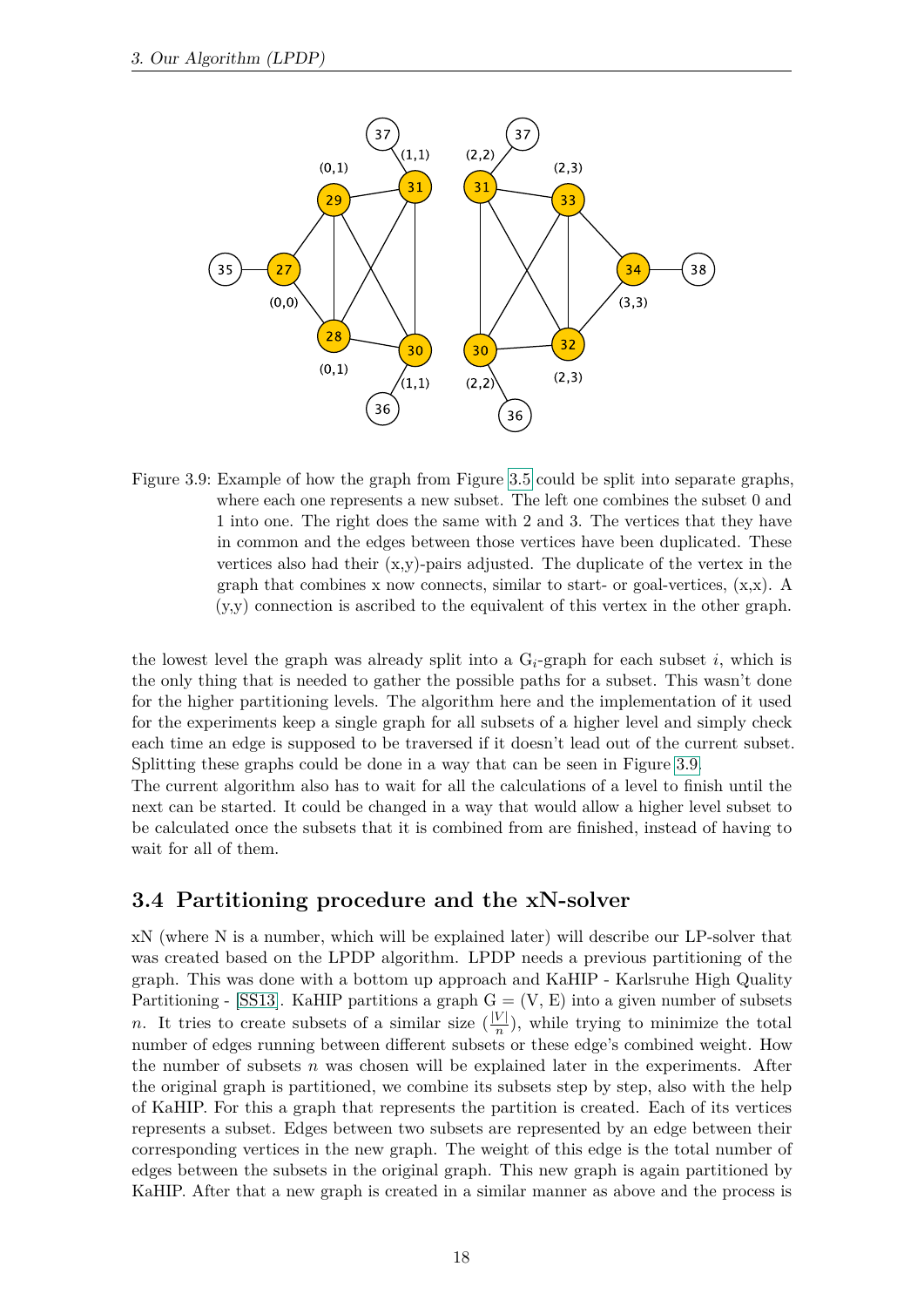

<span id="page-25-1"></span>Figure 3.9: Example of how the graph from Figure [3.5](#page-19-0) could be split into separate graphs, where each one represents a new subset. The left one combines the subset 0 and 1 into one. The right does the same with 2 and 3. The vertices that they have in common and the edges between those vertices have been duplicated. These vertices also had their  $(x,y)$ -pairs adjusted. The duplicate of the vertex in the graph that combines x now connects, similar to start- or goal-vertices,  $(x,x)$ . A (y,y) connection is ascribed to the equivalent of this vertex in the other graph.

the lowest level the graph was already split into a  $G_i$ -graph for each subset  $i$ , which is the only thing that is needed to gather the possible paths for a subset. This wasn't done for the higher partitioning levels. The algorithm here and the implementation of it used for the experiments keep a single graph for all subsets of a higher level and simply check each time an edge is supposed to be traversed if it doesn't lead out of the current subset. Splitting these graphs could be done in a way that can be seen in Figure [3.9.](#page-25-1)

The current algorithm also has to wait for all the calculations of a level to finish until the next can be started. It could be changed in a way that would allow a higher level subset to be calculated once the subsets that it is combined from are finished, instead of having to wait for all of them.

# <span id="page-25-0"></span>**3.4 Partitioning procedure and the xN-solver**

xN (where N is a number, which will be explained later) will describe our LP-solver that was created based on the LPDP algorithm. LPDP needs a previous partitioning of the graph. This was done with a bottom up approach and KaHIP - Karlsruhe High Quality Partitioning - [\[SS13\]](#page-44-9). KaHIP partitions a graph  $G = (V, E)$  into a given number of subsets *n*. It tries to create subsets of a similar size  $(\frac{|V|}{n})$ , while trying to minimize the total number of edges running between different subsets or these edge's combined weight. How the number of subsets *n* was chosen will be explained later in the experiments. After the original graph is partitioned, we combine its subsets step by step, also with the help of KaHIP. For this a graph that represents the partition is created. Each of its vertices represents a subset. Edges between two subsets are represented by an edge between their corresponding vertices in the new graph. The weight of this edge is the total number of edges between the subsets in the original graph. This new graph is again partitioned by KaHIP. After that a new graph is created in a similar manner as above and the process is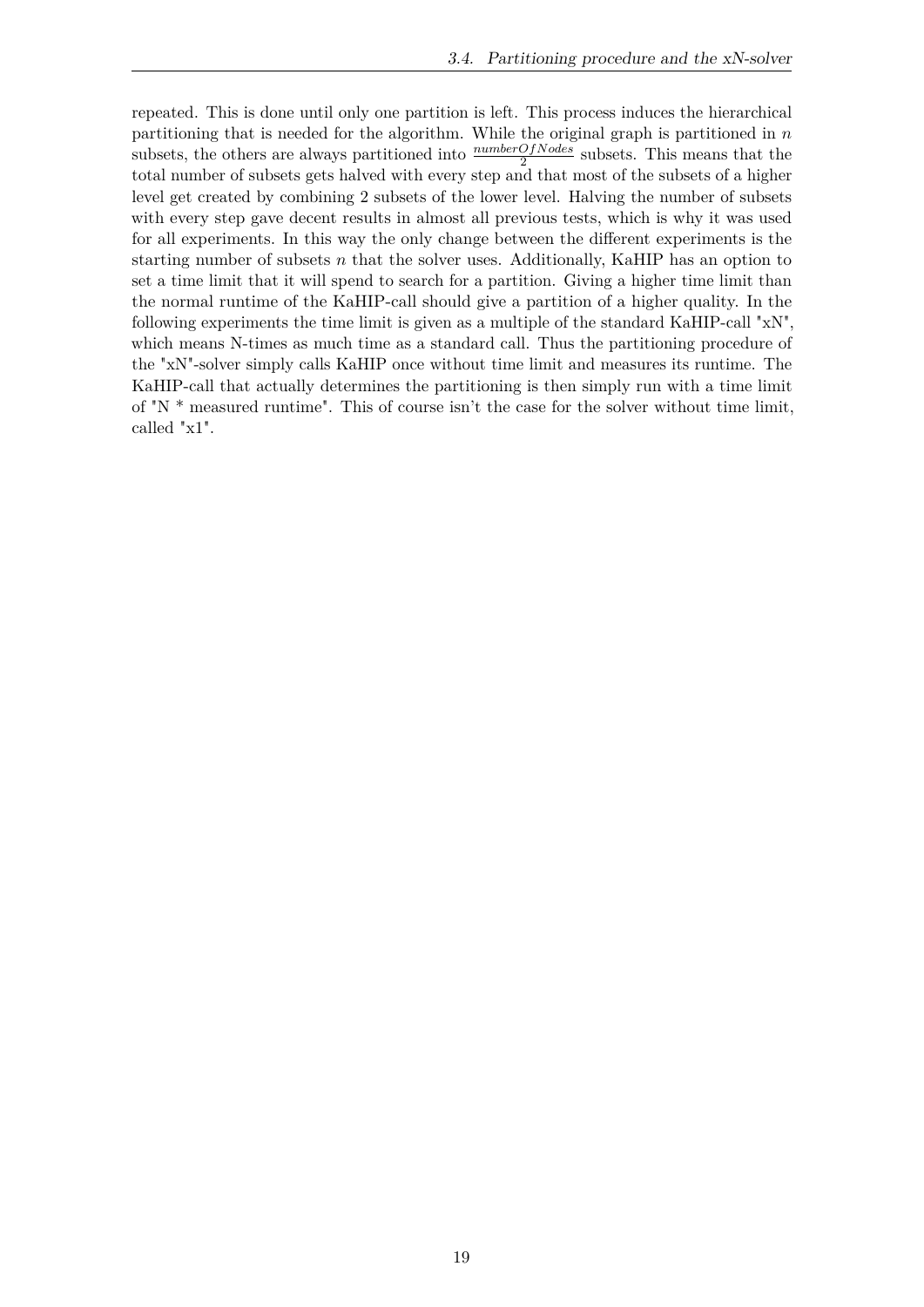repeated. This is done until only one partition is left. This process induces the hierarchical partitioning that is needed for the algorithm. While the original graph is partitioned in *n* subsets, the others are always partitioned into  $\frac{numberOfNodes}{2}$  subsets. This means that the total number of subsets gets halved with every step and that most of the subsets of a higher level get created by combining 2 subsets of the lower level. Halving the number of subsets with every step gave decent results in almost all previous tests, which is why it was used for all experiments. In this way the only change between the different experiments is the starting number of subsets *n* that the solver uses. Additionally, KaHIP has an option to set a time limit that it will spend to search for a partition. Giving a higher time limit than the normal runtime of the KaHIP-call should give a partition of a higher quality. In the following experiments the time limit is given as a multiple of the standard KaHIP-call "xN", which means N-times as much time as a standard call. Thus the partitioning procedure of the "xN"-solver simply calls KaHIP once without time limit and measures its runtime. The KaHIP-call that actually determines the partitioning is then simply run with a time limit of "N \* measured runtime". This of course isn't the case for the solver without time limit, called "x1".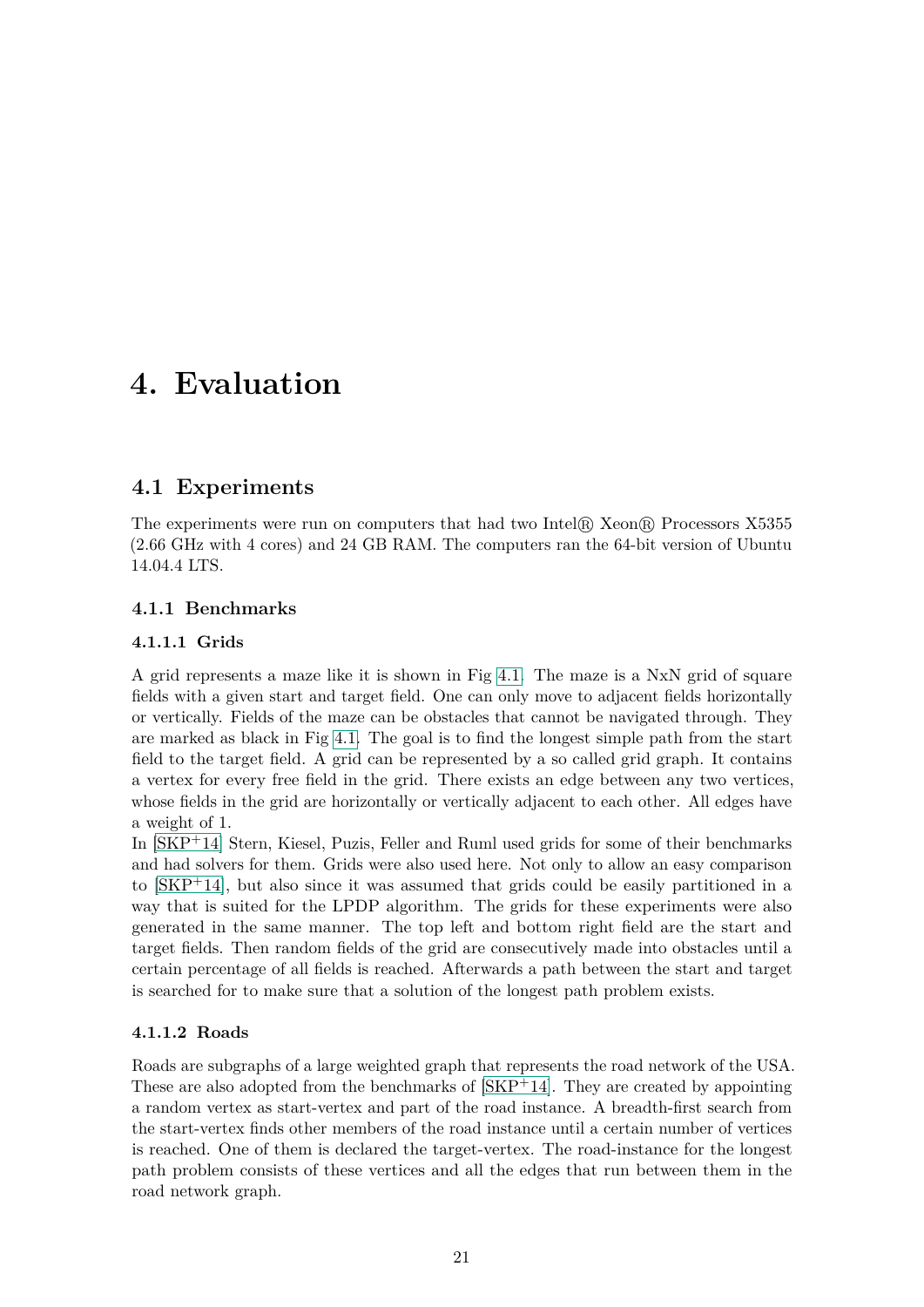# <span id="page-28-0"></span>**4. Evaluation**

# <span id="page-28-1"></span>**4.1 Experiments**

The experiments were run on computers that had two Intel® Xeon® Processors X5355 (2.66 GHz with 4 cores) and 24 GB RAM. The computers ran the 64-bit version of Ubuntu 14.04.4 LTS.

# <span id="page-28-3"></span><span id="page-28-2"></span>**4.1.1 Benchmarks**

# **4.1.1.1 Grids**

A grid represents a maze like it is shown in Fig [4.1.](#page-29-1) The maze is a NxN grid of square fields with a given start and target field. One can only move to adjacent fields horizontally or vertically. Fields of the maze can be obstacles that cannot be navigated through. They are marked as black in Fig [4.1.](#page-29-1) The goal is to find the longest simple path from the start field to the target field. A grid can be represented by a so called grid graph. It contains a vertex for every free field in the grid. There exists an edge between any two vertices, whose fields in the grid are horizontally or vertically adjacent to each other. All edges have a weight of 1.

In [\[SKP](#page-44-10)+14] Stern, Kiesel, Puzis, Feller and Ruml used grids for some of their benchmarks and had solvers for them. Grids were also used here. Not only to allow an easy comparison to [\[SKP](#page-44-10)+14], but also since it was assumed that grids could be easily partitioned in a way that is suited for the LPDP algorithm. The grids for these experiments were also generated in the same manner. The top left and bottom right field are the start and target fields. Then random fields of the grid are consecutively made into obstacles until a certain percentage of all fields is reached. Afterwards a path between the start and target is searched for to make sure that a solution of the longest path problem exists.

# <span id="page-28-4"></span>**4.1.1.2 Roads**

Roads are subgraphs of a large weighted graph that represents the road network of the USA. These are also adopted from the benchmarks of  $[SKP+14]$  $[SKP+14]$ . They are created by appointing a random vertex as start-vertex and part of the road instance. A breadth-first search from the start-vertex finds other members of the road instance until a certain number of vertices is reached. One of them is declared the target-vertex. The road-instance for the longest path problem consists of these vertices and all the edges that run between them in the road network graph.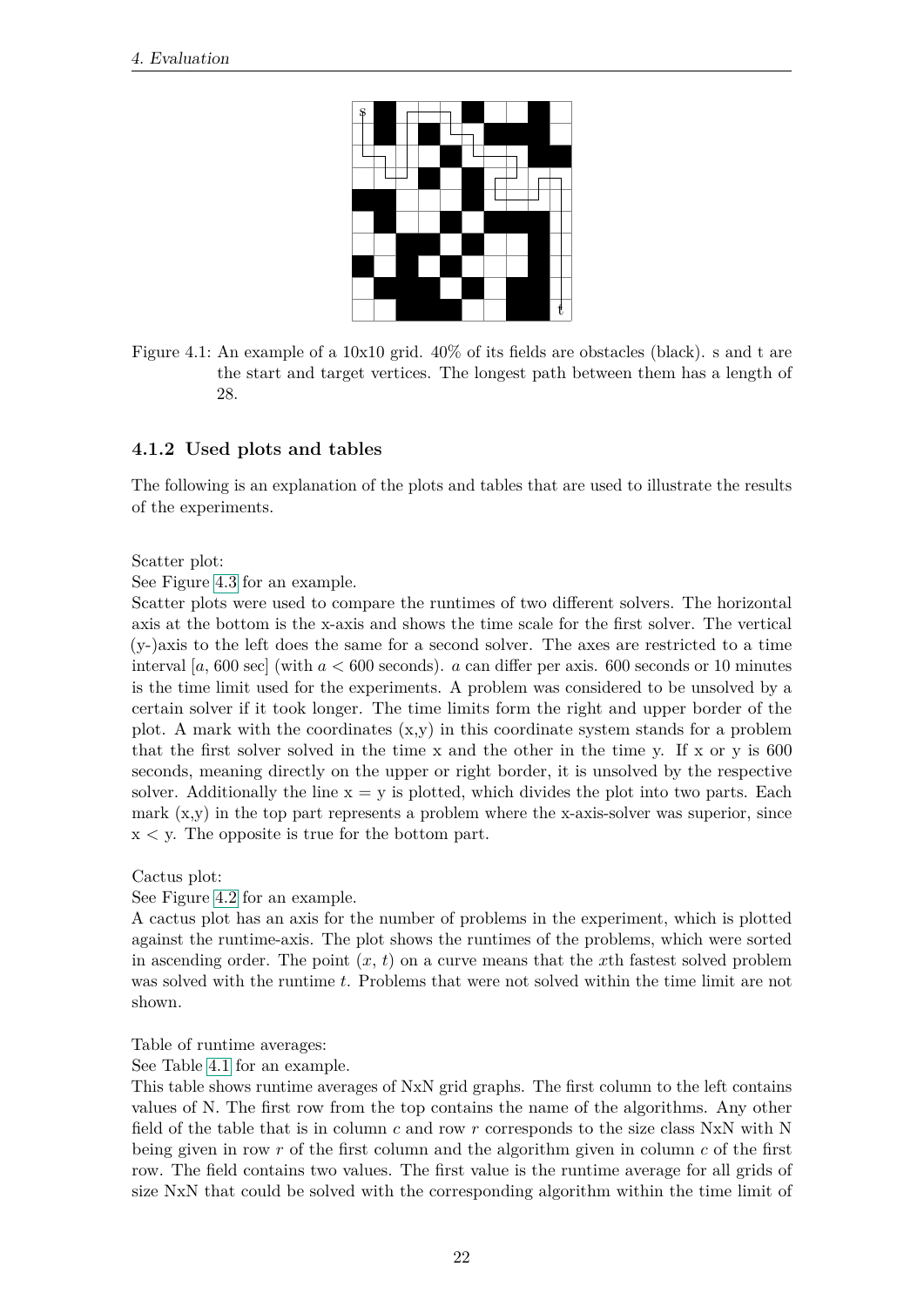

<span id="page-29-1"></span>Figure 4.1: An example of a 10x10 grid. 40% of its fields are obstacles (black). s and t are the start and target vertices. The longest path between them has a length of 28.

# <span id="page-29-0"></span>**4.1.2 Used plots and tables**

The following is an explanation of the plots and tables that are used to illustrate the results of the experiments.

Scatter plot:

See Figure [4.3](#page-32-0) for an example.

Scatter plots were used to compare the runtimes of two different solvers. The horizontal axis at the bottom is the x-axis and shows the time scale for the first solver. The vertical (y-)axis to the left does the same for a second solver. The axes are restricted to a time interval [*a*, 600 sec] (with *a <* 600 seconds). *a* can differ per axis. 600 seconds or 10 minutes is the time limit used for the experiments. A problem was considered to be unsolved by a certain solver if it took longer. The time limits form the right and upper border of the plot. A mark with the coordinates  $(x,y)$  in this coordinate system stands for a problem that the first solver solved in the time x and the other in the time y. If x or y is  $600$ seconds, meaning directly on the upper or right border, it is unsolved by the respective solver. Additionally the line  $x = y$  is plotted, which divides the plot into two parts. Each mark (x,y) in the top part represents a problem where the x-axis-solver was superior, since x *<* y. The opposite is true for the bottom part.

Cactus plot:

See Figure [4.2](#page-31-0) for an example.

A cactus plot has an axis for the number of problems in the experiment, which is plotted against the runtime-axis. The plot shows the runtimes of the problems, which were sorted in ascending order. The point  $(x, t)$  on a curve means that the x<sup>th</sup> fastest solved problem was solved with the runtime *t*. Problems that were not solved within the time limit are not shown.

Table of runtime averages:

See Table [4.1](#page-34-0) for an example.

This table shows runtime averages of NxN grid graphs. The first column to the left contains values of N. The first row from the top contains the name of the algorithms. Any other field of the table that is in column *c* and row *r* corresponds to the size class NxN with N being given in row *r* of the first column and the algorithm given in column *c* of the first row. The field contains two values. The first value is the runtime average for all grids of size NxN that could be solved with the corresponding algorithm within the time limit of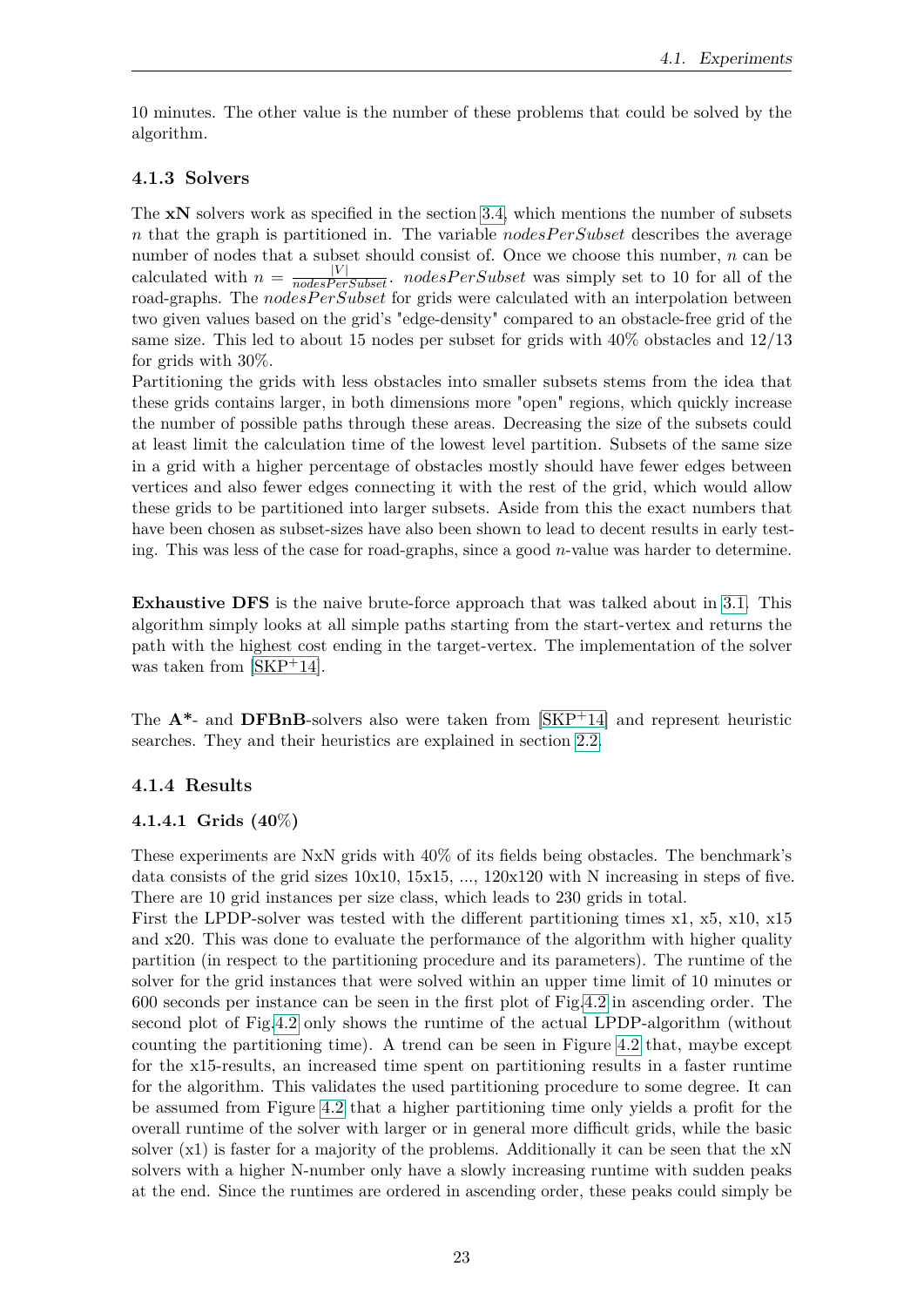10 minutes. The other value is the number of these problems that could be solved by the algorithm.

### <span id="page-30-0"></span>**4.1.3 Solvers**

The **xN** solvers work as specified in the section [3.4,](#page-25-0) which mentions the number of subsets  $n$  that the graph is partitioned in. The variable  $nodesPerSubset$  describes the average number of nodes that a subset should consist of. Once we choose this number, *n* can be calculated with  $n = \frac{|V|}{nodesPerSubset}$ . *nodesPerSubset* was simply set to 10 for all of the road-graphs. The *nodesPerSubset* for grids were calculated with an interpolation between two given values based on the grid's "edge-density" compared to an obstacle-free grid of the same size. This led to about 15 nodes per subset for grids with 40% obstacles and 12/13 for grids with 30%.

Partitioning the grids with less obstacles into smaller subsets stems from the idea that these grids contains larger, in both dimensions more "open" regions, which quickly increase the number of possible paths through these areas. Decreasing the size of the subsets could at least limit the calculation time of the lowest level partition. Subsets of the same size in a grid with a higher percentage of obstacles mostly should have fewer edges between vertices and also fewer edges connecting it with the rest of the grid, which would allow these grids to be partitioned into larger subsets. Aside from this the exact numbers that have been chosen as subset-sizes have also been shown to lead to decent results in early testing. This was less of the case for road-graphs, since a good *n*-value was harder to determine.

**Exhaustive DFS** is the naive brute-force approach that was talked about in [3.1.](#page-14-1) This algorithm simply looks at all simple paths starting from the start-vertex and returns the path with the highest cost ending in the target-vertex. The implementation of the solver was taken from  $[SKP^+14]$  $[SKP^+14]$ .

The **A\***- and **DFBnB**-solvers also were taken from [\[SKP](#page-44-10)+14] and represent heuristic searches. They and their heuristics are explained in section [2.2.](#page-11-0)

### <span id="page-30-2"></span><span id="page-30-1"></span>**4.1.4 Results**

# **4.1.4.1 Grids (40**%**)**

These experiments are NxN grids with 40% of its fields being obstacles. The benchmark's data consists of the grid sizes  $10x10$ ,  $15x15$ , ...,  $120x120$  with N increasing in steps of five. There are 10 grid instances per size class, which leads to 230 grids in total.

First the LPDP-solver was tested with the different partitioning times x1, x5, x10, x15 and x20. This was done to evaluate the performance of the algorithm with higher quality partition (in respect to the partitioning procedure and its parameters). The runtime of the solver for the grid instances that were solved within an upper time limit of 10 minutes or 600 seconds per instance can be seen in the first plot of Fig[.4.2](#page-31-0) in ascending order. The second plot of Fig[.4.2](#page-31-0) only shows the runtime of the actual LPDP-algorithm (without counting the partitioning time). A trend can be seen in Figure [4.2](#page-31-0) that, maybe except for the x15-results, an increased time spent on partitioning results in a faster runtime for the algorithm. This validates the used partitioning procedure to some degree. It can be assumed from Figure [4.2](#page-31-0) that a higher partitioning time only yields a profit for the overall runtime of the solver with larger or in general more difficult grids, while the basic solver  $(x1)$  is faster for a majority of the problems. Additionally it can be seen that the  $xN$ solvers with a higher N-number only have a slowly increasing runtime with sudden peaks at the end. Since the runtimes are ordered in ascending order, these peaks could simply be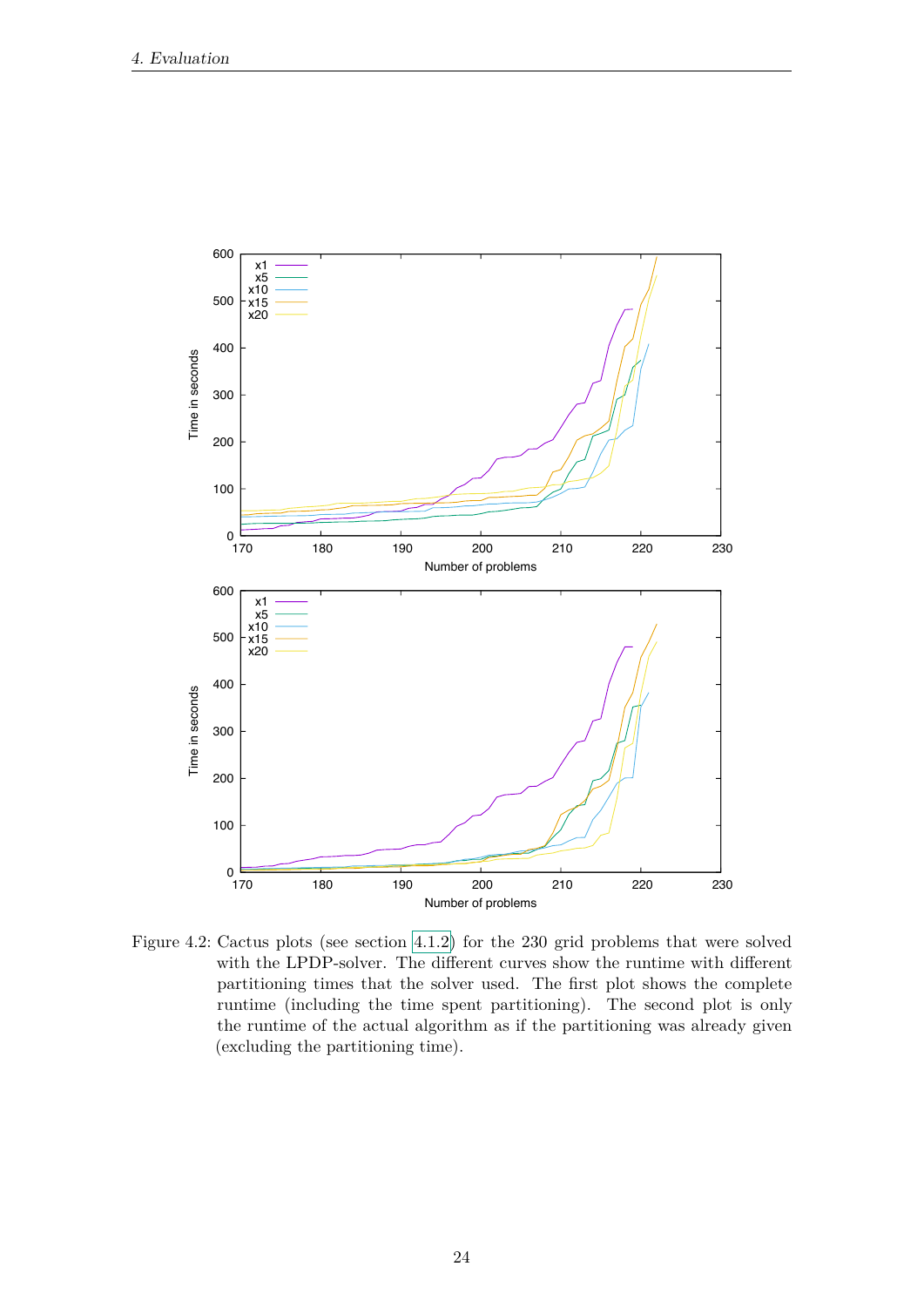

<span id="page-31-0"></span>Figure 4.2: Cactus plots (see section 4.1.2) for the 230 grid problems that were solved with the LPDP-solver. The different curves show the runtime with different partitioning times that the solver used. The first plot shows the complete runtime (including the time spent partitioning). The second plot is only the runtime of the actual algorithm as if the partitioning was already given (excluding the partitioning time).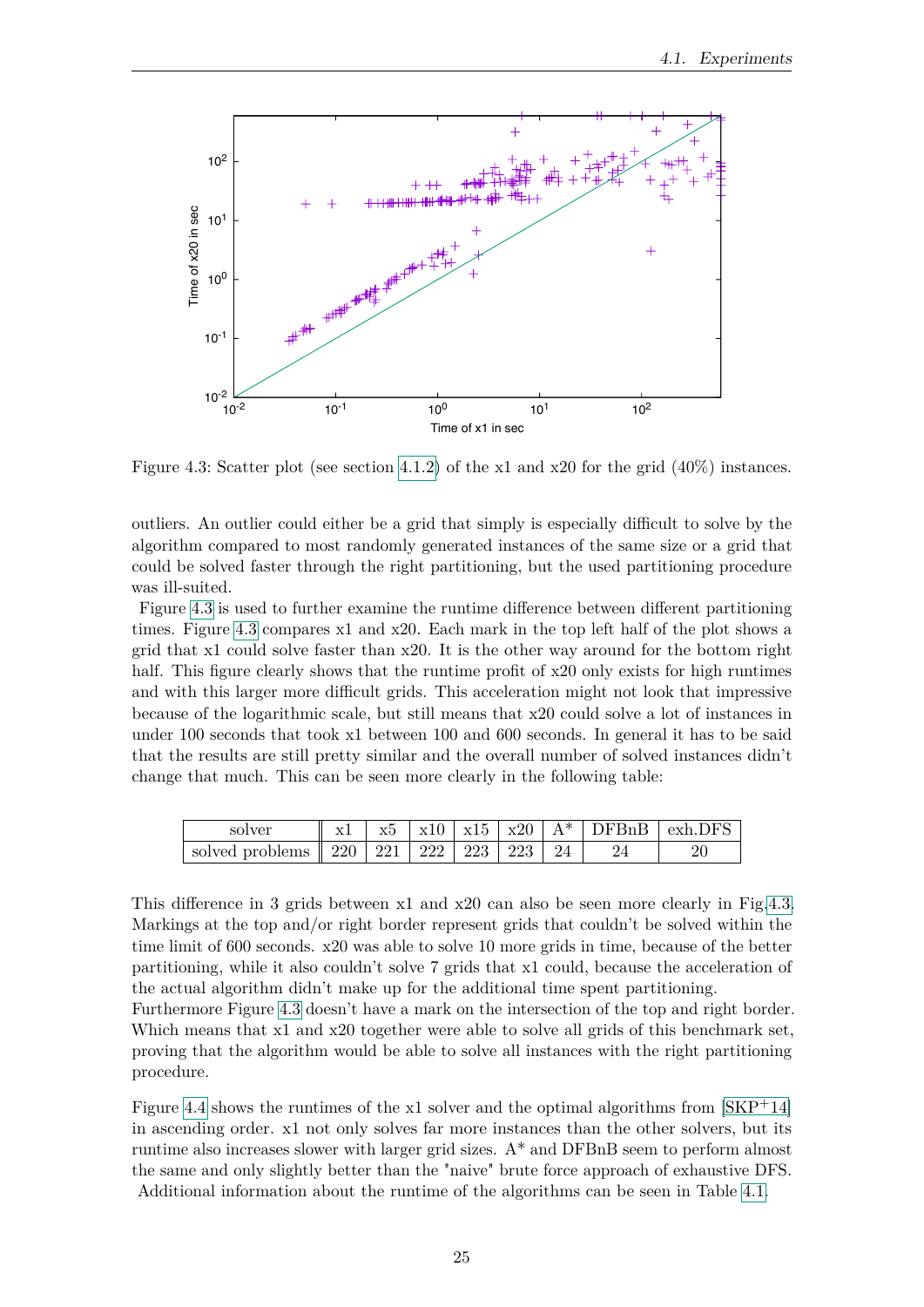

<span id="page-32-0"></span>Figure 4.3: Scatter plot (see section [4.1.2\)](#page-29-0) of the x1 and x20 for the grid  $(40\%)$  instances.

outliers. An outlier could either be a grid that simply is especially difficult to solve by the algorithm compared to most randomly generated instances of the same size or a grid that could be solved faster through the right partitioning, but the used partitioning procedure was ill-suited.

Figure [4.3](#page-32-0) is used to further examine the runtime difference between different partitioning times. Figure [4.3](#page-32-0) compares x1 and x20. Each mark in the top left half of the plot shows a grid that x1 could solve faster than x20. It is the other way around for the bottom right half. This figure clearly shows that the runtime profit of x20 only exists for high runtimes and with this larger more difficult grids. This acceleration might not look that impressive because of the logarithmic scale, but still means that x20 could solve a lot of instances in under 100 seconds that took x1 between 100 and 600 seconds. In general it has to be said that the results are still pretty similar and the overall number of solved instances didn't change that much. This can be seen more clearly in the following table:

| solver                                                       |  |  |  | $\vert$ x1   x5   x10   x15   x20   A*   DFBnB   exh.DFS |
|--------------------------------------------------------------|--|--|--|----------------------------------------------------------|
| solved problems $\parallel$ 220   221   222   223   223   24 |  |  |  |                                                          |

This difference in 3 grids between x1 and x20 can also be seen more clearly in Fig[.4.3.](#page-32-0) Markings at the top and/or right border represent grids that couldn't be solved within the time limit of 600 seconds. x20 was able to solve 10 more grids in time, because of the better partitioning, while it also couldn't solve 7 grids that x1 could, because the acceleration of the actual algorithm didn't make up for the additional time spent partitioning.

Furthermore Figure [4.3](#page-32-0) doesn't have a mark on the intersection of the top and right border. Which means that x1 and x20 together were able to solve all grids of this benchmark set, proving that the algorithm would be able to solve all instances with the right partitioning procedure.

Figure [4.4](#page-33-0) shows the runtimes of the x1 solver and the optimal algorithms from [\[SKP](#page-44-10)+14] in ascending order. x1 not only solves far more instances than the other solvers, but its runtime also increases slower with larger grid sizes. A\* and DFBnB seem to perform almost the same and only slightly better than the "naive" brute force approach of exhaustive DFS. Additional information about the runtime of the algorithms can be seen in Table [4.1.](#page-34-0)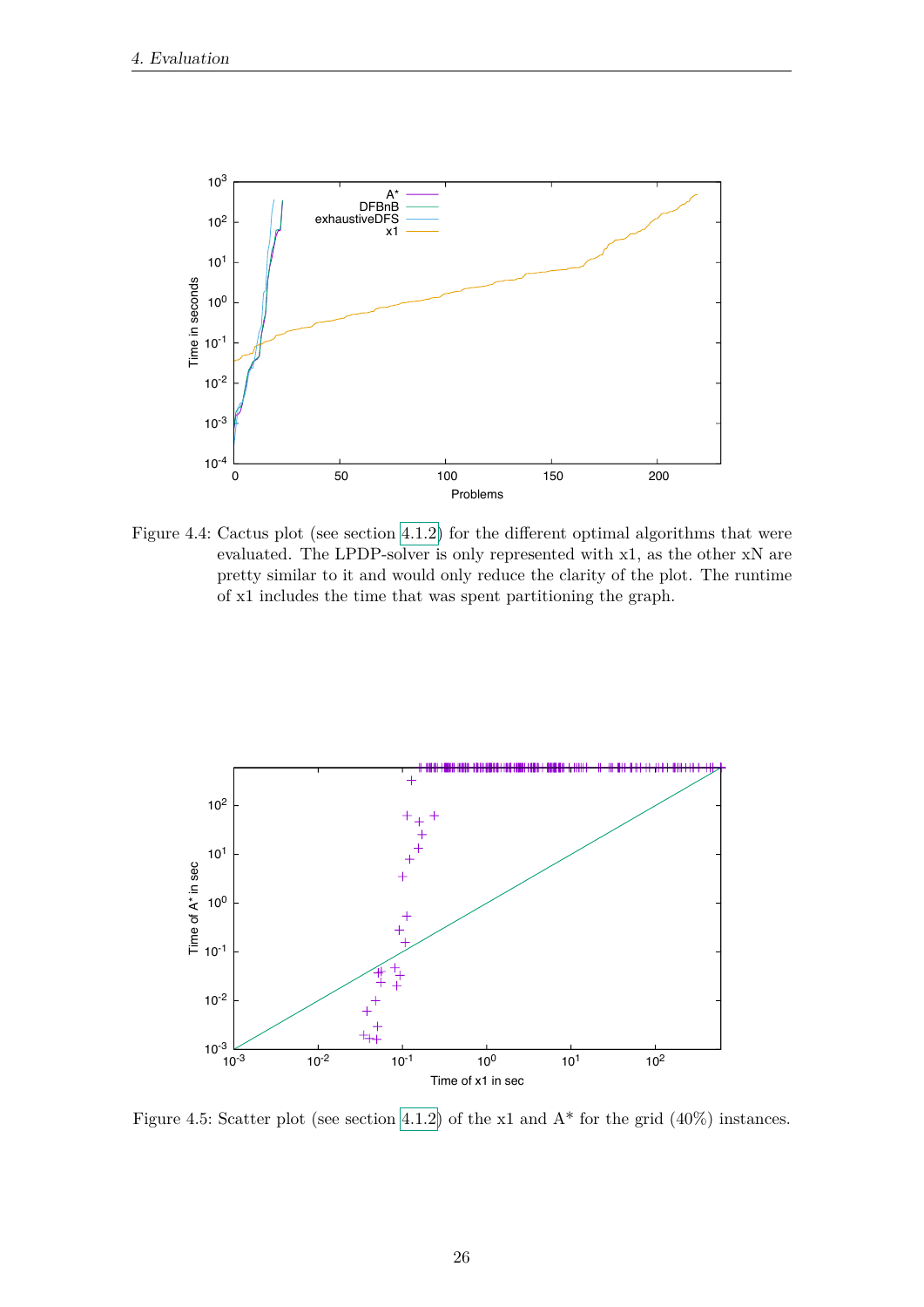

<span id="page-33-0"></span>Figure 4.4: Cactus plot (see section 4.1.2) for the different optimal algorithms that were evaluated. The LPDP-solver is only represented with x1, as the other xN are pretty similar to it and would only reduce the clarity of the plot. The runtime of x1 includes the time that was spent partitioning the graph.



Figure 4.5: Scatter plot (see section 4.1.2) of the x1 and  $A^*$  for the grid (40%) instances.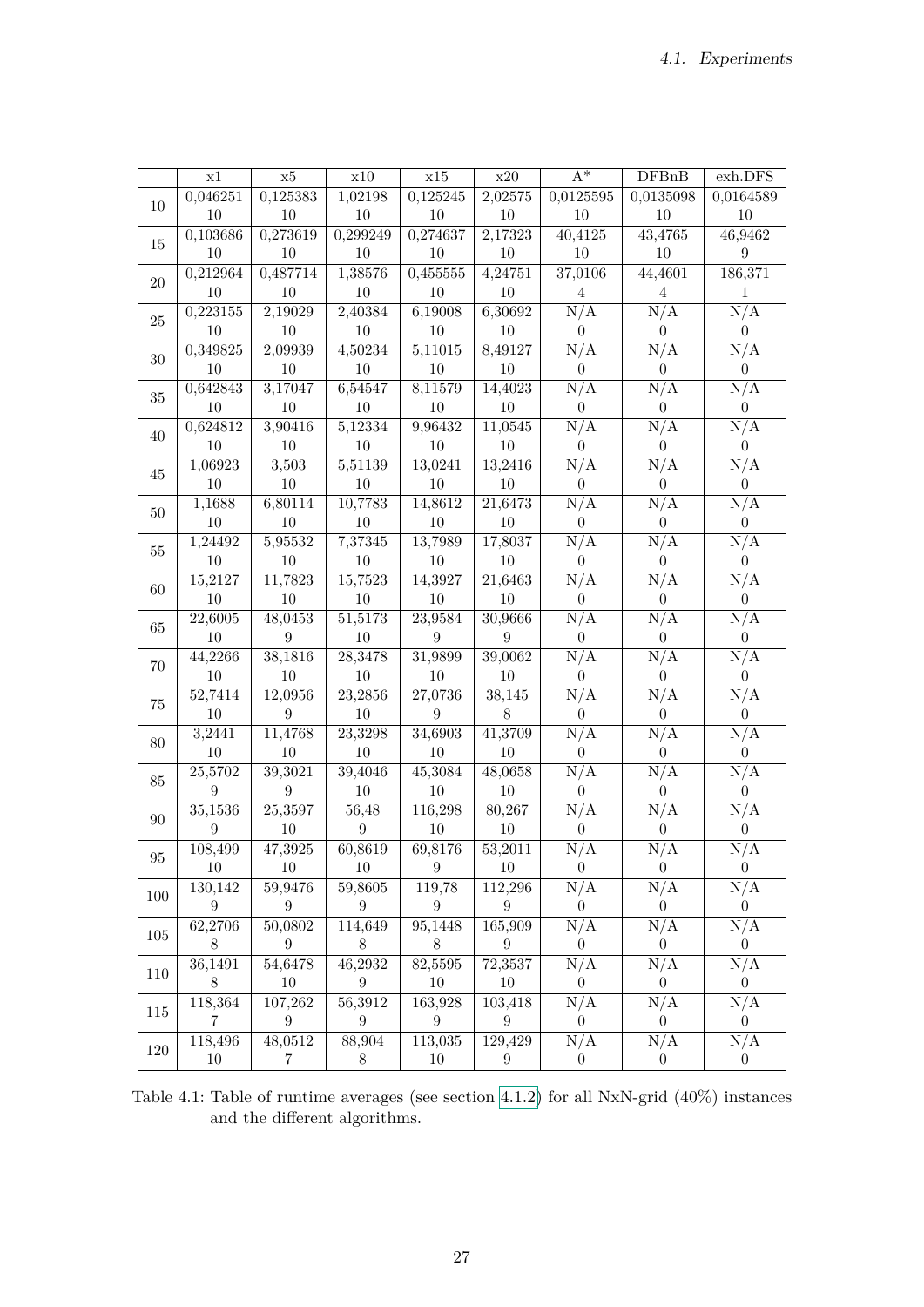|          | x1               | $\ge 5$              | x10              | $\ge 15$             | x20                  | $\overline{A^*}$      | DFBnB                          | exh.DFS                        |
|----------|------------------|----------------------|------------------|----------------------|----------------------|-----------------------|--------------------------------|--------------------------------|
|          | 0,046251         | 0,125383             | 1,02198          | 0,125245             | 2,02575              | 0,0125595             | 0,0135098                      | 0,0164589                      |
| 10       | 10               | 10                   | 10               | 10                   | 10                   | 10                    | 10                             | 10                             |
| 15       | 0,103686         | 0,273619             | 0,299249         | 0,274637             | 2,17323              | 40,4125               | 43,4765                        | 46,9462                        |
|          | 10               | 10                   | 10               | 10                   | 10                   | 10                    | 10                             | 9                              |
| 20       | 0,212964         | 0,487714             | 1,38576          | 0,455555             | 4,24751              | 37,0106               | 44,4601                        | 186,371                        |
|          | 10               | 10                   | 10               | $10\,$               | 10                   | $\overline{4}$        | 4                              | $\mathbf{1}$                   |
| 25       | 0,223155         | 2,19029              | 2,40384          | 6,19008              | 6,30692              | N/A                   | N/A                            | N/A                            |
|          | $10\,$           | 10                   | $10\,$           | 10                   | $10\,$               | $\boldsymbol{0}$      | $\boldsymbol{0}$               | $\boldsymbol{0}$               |
| $30\,$   | 0,349825         | 2,09939              | 4,50234          | 5,11015              | 8,49127              | N/A                   | N/A                            | N/A                            |
|          | $10\,$           | 10                   | $10\,$           | $10\,$               | $10\,$               | $\boldsymbol{0}$      | $\overline{0}$                 | $\overline{0}$                 |
| $35\,$   | 0,642843         | 3,17047              | 6,54547          | 8,11579              | 14,4023              | N/A                   | N/A                            | N/A                            |
|          | 10               | 10                   | $10\,$           | $10\,$               | $10\,$               | $\boldsymbol{0}$      | $\overline{0}$                 | $\overline{0}$                 |
| 40       | 0,624812         | 3,90416              | 5,12334          | 9,96432              | 11,0545              | N/A                   | N/A                            | N/A                            |
|          | $10\,$           | 10                   | 10               | $10\,$               | $10\,$               | $\boldsymbol{0}$      | $\overline{0}$                 | $\boldsymbol{0}$               |
| 45       | 1,06923          | 3,503                | 5,51139          | 13,0241              | 13,2416              | N/A                   | N/A                            | N/A                            |
|          | 10               | 10                   | 10               | $10\,$               | $10\,$               | $\boldsymbol{0}$      | $\overline{0}$                 | $\boldsymbol{0}$               |
| 50       | 1,1688           | 6,80114              | 10,7783          | 14,8612              | 21,6473              | N/A                   | N/A                            | N/A                            |
|          | 10               | 10                   | 10               | 10                   | 10                   | $\theta$              | $\overline{0}$                 | $\boldsymbol{0}$               |
| $55\,$   | 1,24492          | 5,95532              | 7,37345          | 13,7989              | 17,8037              | N/A                   | N/A                            | $\overline{\text{N}}/\text{A}$ |
|          | 10               | 10                   | 10               | 10                   | 10                   | $\theta$              | $\overline{0}$                 | $\overline{0}$                 |
| 60       | 15,2127          | $\overline{1}1,7823$ | 15,7523          | 14,3927              | $\overline{2}1,6463$ | N/A                   | N/A                            | N/A                            |
|          | 10               | 10                   | $10\,$           | $10\,$               | 10                   | $\boldsymbol{0}$      | $\overline{0}$                 | $\overline{0}$                 |
| $65\,$   | 22,6005          | 48,0453              | 51,5173          | 23,9584              | 30,9666              | N/A                   | N/A                            | N/A                            |
|          | $10\,$           | $\boldsymbol{9}$     | 10               | 9                    | $\boldsymbol{9}$     | $\boldsymbol{0}$      | $\boldsymbol{0}$               | $\boldsymbol{0}$               |
| 70       | 44,2266          | 38,1816              | 28,3478          | 31,9899              | 39,0062              | N/A                   | N/A                            | N/A                            |
|          | 10               | 10                   | 10               | 10                   | 10                   | $\boldsymbol{0}$      | $\overline{0}$                 | $\overline{0}$                 |
| $75\,$   | 52,7414          | 12,0956              | 23,2856          | 27,0736              | 38,145               | N/A                   | N/A                            | N/A                            |
|          | $10\,$           | 9                    | 10               | 9                    | $8\,$                | $\boldsymbol{0}$      | $\overline{0}$                 | $\overline{0}$                 |
| 80       | 3,2441           | 11,4768              | 23,3298          | 34,6903              | 41,3709              | N/A                   | N/A                            | N/A                            |
|          | $10\,$           | 10                   | 10               | 10                   | 10                   | $\boldsymbol{0}$      | $\overline{0}$                 | $\overline{0}$                 |
| $85\,$   | 25,5702          | 39,3021              | 39,4046          | 45,3084              | 48,0658              | N/A                   | N/A                            | N/A                            |
|          | $\boldsymbol{9}$ | $\boldsymbol{9}$     | 10               | 10                   | 10                   | $\boldsymbol{0}$      | $\overline{0}$                 | $\boldsymbol{0}$               |
| 90       | 35,1536          | 25,3597              | 56,48            | 116,298              | 80,267               | N/A                   | N/A                            | N/A                            |
|          | 9                | 10                   | 9                | $10\,$               | 10                   | 0                     | 0                              | $\overline{0}$                 |
| $\rm 95$ | 108,499<br>10    | 47,3925<br>10        | 60,8619<br>10    | 69,8176<br>9         | 53,2011              | N/A                   | N/A                            | N/A                            |
|          | 130,142          | 59,9476              | 59,8605          | 119,78               | 10<br>112,296        | $\overline{0}$<br>N/A | $\overline{0}$<br>N/A          | $\overline{0}$<br>N/A          |
| 100      | $\boldsymbol{9}$ | $\boldsymbol{9}$     | $\boldsymbol{9}$ | $\boldsymbol{9}$     | $\boldsymbol{9}$     | $\boldsymbol{0}$      | $\overline{0}$                 | $\boldsymbol{0}$               |
|          | 62,2706          | 50,0802              | 114,649          | $\overline{95,}1448$ | 165,909              | N/A                   | N/A                            | N/A                            |
| 105      | $8\,$            | 9                    | $8\,$            | $8\,$                | $\boldsymbol{9}$     | $\overline{0}$        | $\overline{0}$                 | $\overline{0}$                 |
|          | 36,1491          | 54,6478              | 46,2932          | 82,5595              | 72,3537              | N/A                   | $\overline{\text{N}}/\text{A}$ | N/A                            |
| 110      | $8\,$            | 10                   | $9\phantom{.0}$  | $10\,$               | $10\,$               | $\boldsymbol{0}$      | $\overline{0}$                 | $\overline{0}$                 |
|          | 118,364          | 107,262              | 56,3912          | 163,928              | 103,418              | N/A                   | N/A                            | N/A                            |
| 115      | $\overline{7}$   | $\boldsymbol{9}$     | $\boldsymbol{9}$ | 9                    | $9\,$                | $\overline{0}$        | $\overline{0}$                 | $\overline{0}$                 |
|          | 118,496          | 48,0512              | 88,904           | 113,035              | 129,429              | N/A                   | N/A                            | N/A                            |
| 120      | 10               | 7                    | 8                | 10                   | 9                    | $\boldsymbol{0}$      | $\overline{0}$                 | $\overline{0}$                 |
|          |                  |                      |                  |                      |                      |                       |                                |                                |

<span id="page-34-0"></span>Table 4.1: Table of runtime averages (see section [4.1.2\)](#page-29-0) for all NxN-grid (40%) instances and the different algorithms.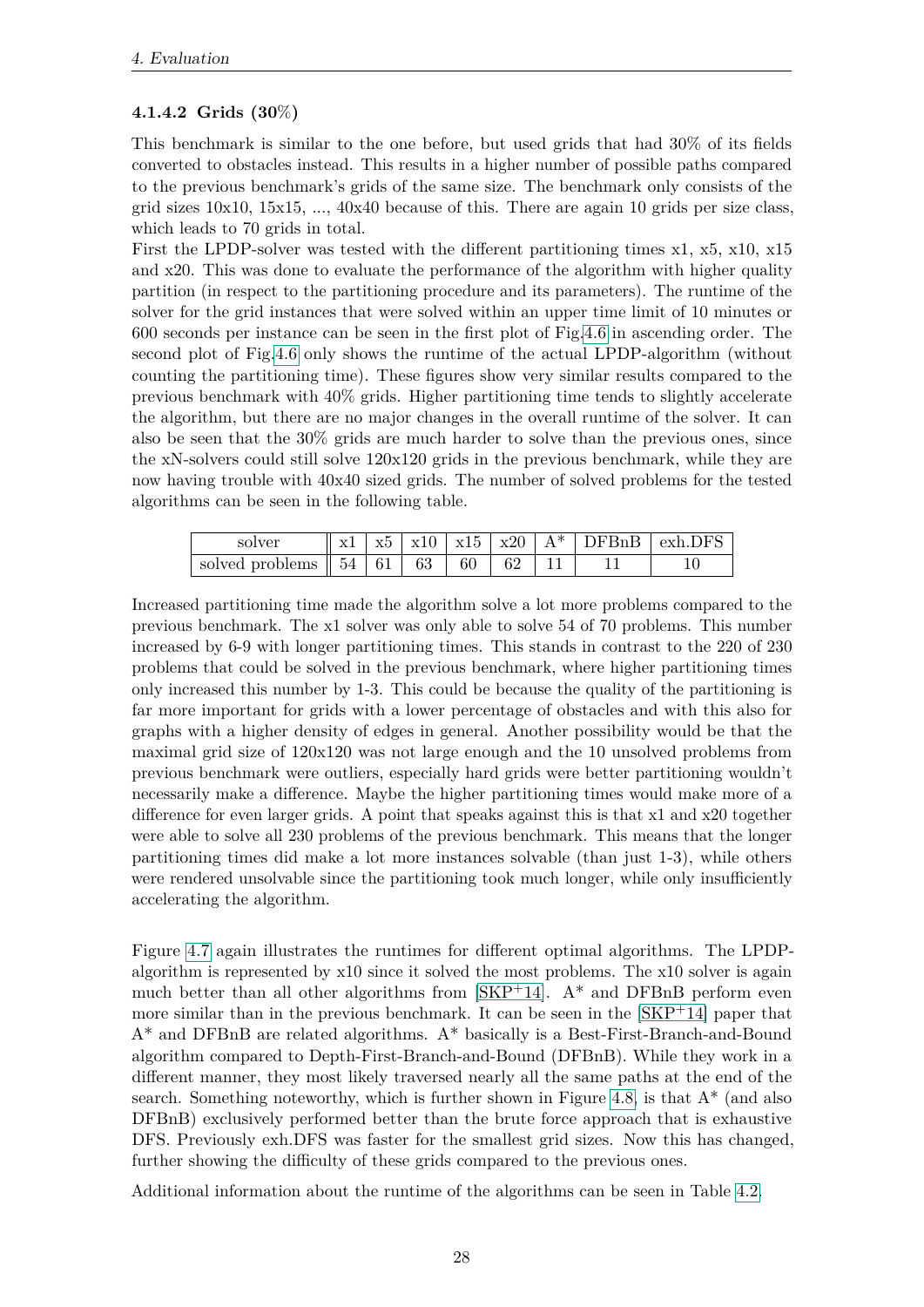# <span id="page-35-0"></span>**4.1.4.2 Grids (30**%**)**

This benchmark is similar to the one before, but used grids that had 30% of its fields converted to obstacles instead. This results in a higher number of possible paths compared to the previous benchmark's grids of the same size. The benchmark only consists of the grid sizes  $10x10$ ,  $15x15$ , ...,  $40x40$  because of this. There are again 10 grids per size class, which leads to 70 grids in total.

First the LPDP-solver was tested with the different partitioning times x1, x5, x10, x15 and x20. This was done to evaluate the performance of the algorithm with higher quality partition (in respect to the partitioning procedure and its parameters). The runtime of the solver for the grid instances that were solved within an upper time limit of 10 minutes or 600 seconds per instance can be seen in the first plot of Fig[.4.6](#page-36-0) in ascending order. The second plot of Fig[.4.6](#page-36-0) only shows the runtime of the actual LPDP-algorithm (without counting the partitioning time). These figures show very similar results compared to the previous benchmark with 40% grids. Higher partitioning time tends to slightly accelerate the algorithm, but there are no major changes in the overall runtime of the solver. It can also be seen that the 30% grids are much harder to solve than the previous ones, since the xN-solvers could still solve 120x120 grids in the previous benchmark, while they are now having trouble with 40x40 sized grids. The number of solved problems for the tested algorithms can be seen in the following table.

| solver                                                                                                 | x1 |  |  |  | $\vert x5 \vert x10 \vert x15 \vert x20 \vert A^*$ DFBnB $\vert$ exh.DFS |
|--------------------------------------------------------------------------------------------------------|----|--|--|--|--------------------------------------------------------------------------|
| solved problems $\parallel$ 54 $\parallel$ 61 $\parallel$ 63 $\parallel$ 60 $\parallel$ 62 $\parallel$ |    |  |  |  |                                                                          |

Increased partitioning time made the algorithm solve a lot more problems compared to the previous benchmark. The x1 solver was only able to solve 54 of 70 problems. This number increased by 6-9 with longer partitioning times. This stands in contrast to the 220 of 230 problems that could be solved in the previous benchmark, where higher partitioning times only increased this number by 1-3. This could be because the quality of the partitioning is far more important for grids with a lower percentage of obstacles and with this also for graphs with a higher density of edges in general. Another possibility would be that the maximal grid size of 120x120 was not large enough and the 10 unsolved problems from previous benchmark were outliers, especially hard grids were better partitioning wouldn't necessarily make a difference. Maybe the higher partitioning times would make more of a difference for even larger grids. A point that speaks against this is that x1 and x20 together were able to solve all 230 problems of the previous benchmark. This means that the longer partitioning times did make a lot more instances solvable (than just 1-3), while others were rendered unsolvable since the partitioning took much longer, while only insufficiently accelerating the algorithm.

Figure [4.7](#page-37-0) again illustrates the runtimes for different optimal algorithms. The LPDPalgorithm is represented by x10 since it solved the most problems. The x10 solver is again much better than all other algorithms from  $|SKP+14|$ . A<sup>\*</sup> and DFBnB perform even more similar than in the previous benchmark. It can be seen in the  $|SKP+14|$  paper that A\* and DFBnB are related algorithms. A\* basically is a Best-First-Branch-and-Bound algorithm compared to Depth-First-Branch-and-Bound (DFBnB). While they work in a different manner, they most likely traversed nearly all the same paths at the end of the search. Something noteworthy, which is further shown in Figure [4.8,](#page-37-1) is that  $A^*$  (and also DFBnB) exclusively performed better than the brute force approach that is exhaustive DFS. Previously exh.DFS was faster for the smallest grid sizes. Now this has changed, further showing the difficulty of these grids compared to the previous ones.

Additional information about the runtime of the algorithms can be seen in Table [4.2.](#page-38-1)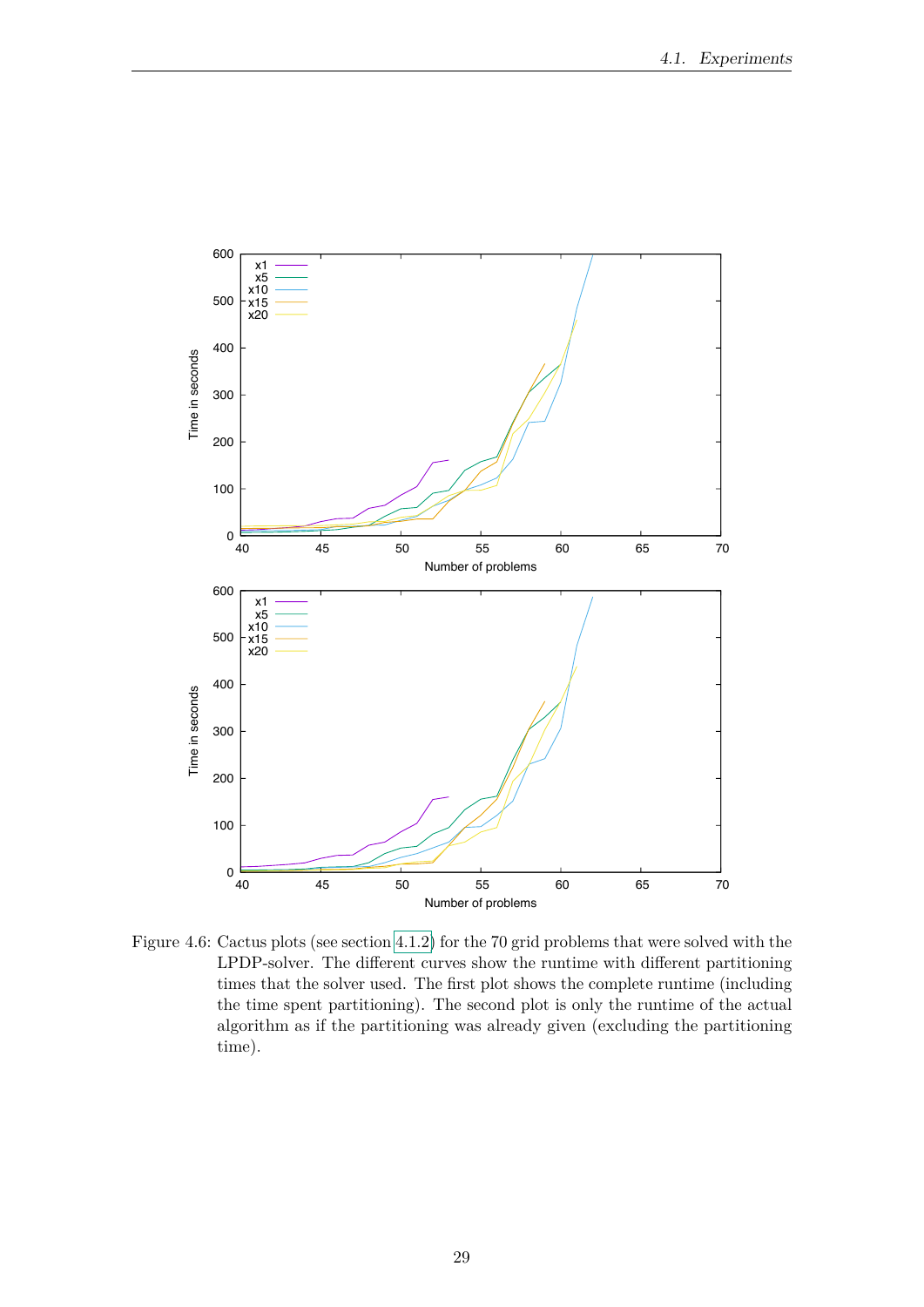

<span id="page-36-0"></span>Figure 4.6: Cactus plots (see section 4.1.2) for the 70 grid problems that were solved with the LPDP-solver. The different curves show the runtime with different partitioning times that the solver used. The first plot shows the complete runtime (including the time spent partitioning). The second plot is only the runtime of the actual algorithm as if the partitioning was already given (excluding the partitioning time).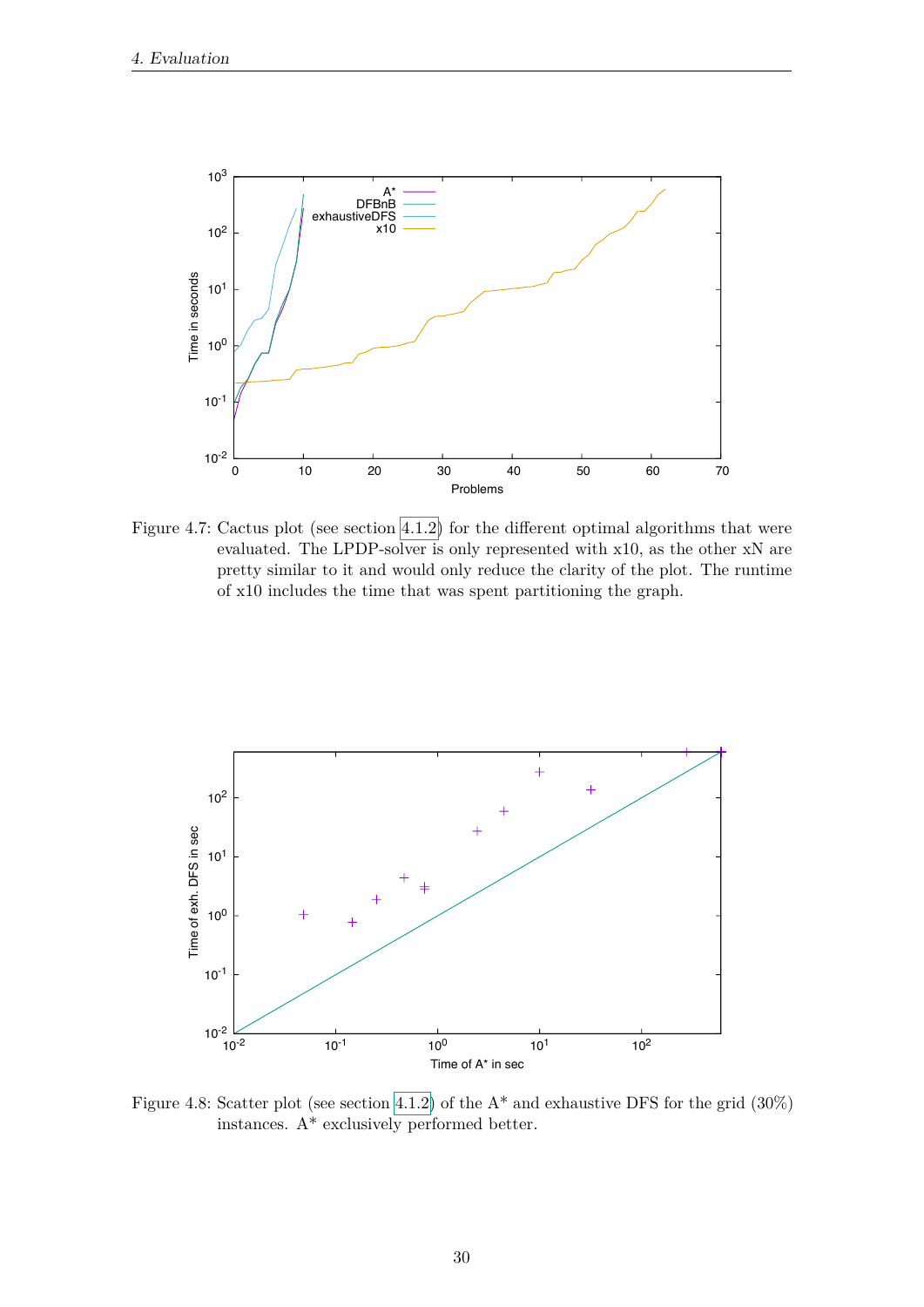

<span id="page-37-0"></span>Figure 4.7: Cactus plot (see section 4.1.2) for the different optimal algorithms that were evaluated. The LPDP-solver is only represented with x10, as the other xN are pretty similar to it and would only reduce the clarity of the plot. The runtime of x10 includes the time that was spent partitioning the graph.



<span id="page-37-1"></span>Figure 4.8: Scatter plot (see section 4.1.2) of the  $A^*$  and exhaustive DFS for the grid (30%) instances.  $\mathbf{A}^*$  exclusively performed better.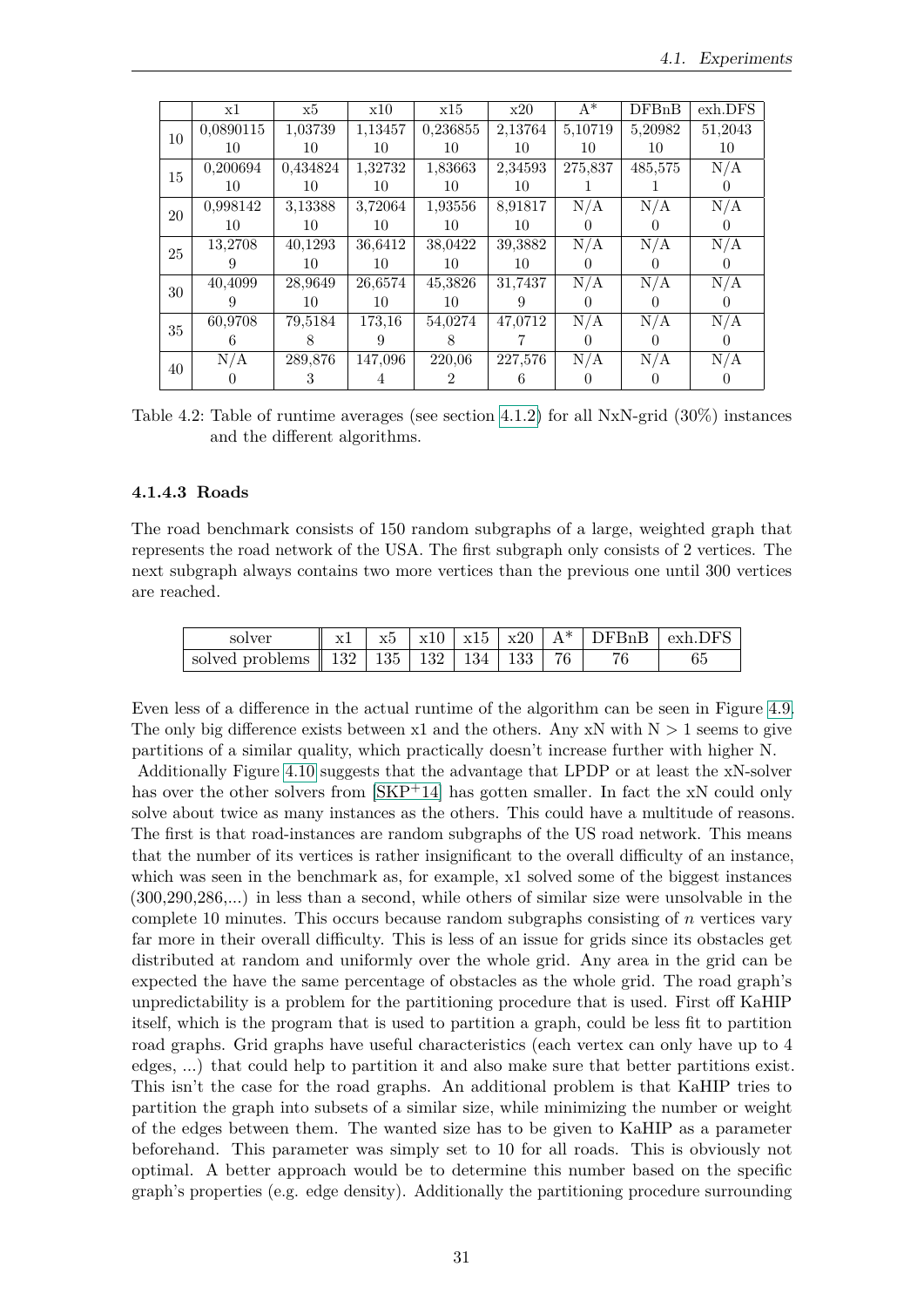|        | x1        | x5       | x10     | x15      | x20     | $A^*$   | DFBnB   | exh.DFS |
|--------|-----------|----------|---------|----------|---------|---------|---------|---------|
| 10     | 0,0890115 | 1.03739  | 1,13457 | 0,236855 | 2,13764 | 5,10719 | 5,20982 | 51,2043 |
|        | 10        | 10       | 10      | 10       | 10      | 10      | 10      | 10      |
| 15     | 0,200694  | 0,434824 | 1,32732 | 1,83663  | 2,34593 | 275,837 | 485,575 | N/A     |
|        | 10        | 10       | 10      | 10       | 10      |         |         |         |
| 20     | 0,998142  | 3,13388  | 3,72064 | 1.93556  | 8,91817 | N/A     | N/A     | N/A     |
|        | 10        | 10       | 10      | 10       | 10      |         |         |         |
| 25     | 13,2708   | 40,1293  | 36,6412 | 38,0422  | 39,3882 | N/A     | N/A     | N/A     |
|        |           | 10       | 10      | 10       | 10      |         |         |         |
| 30     | 40,4099   | 28,9649  | 26,6574 | 45,3826  | 31,7437 | N/A     | N/A     | N/A     |
|        |           | 10       | 10      | 10       |         |         |         |         |
| $35\,$ | 60,9708   | 79,5184  | 173,16  | 54,0274  | 47,0712 | N/A     | N/A     | N/A     |
|        | h         |          | 9       | 8        |         |         |         |         |
| 40     | N/A       | 289,876  | 147,096 | 220,06   | 227,576 | N/A     | N/A     | N/A     |
|        |           |          |         |          |         |         |         |         |

<span id="page-38-1"></span>Table 4.2: Table of runtime averages (see section [4.1.2\)](#page-29-0) for all NxN-grid (30%) instances and the different algorithms.

### <span id="page-38-0"></span>**4.1.4.3 Roads**

The road benchmark consists of 150 random subgraphs of a large, weighted graph that represents the road network of the USA. The first subgraph only consists of 2 vertices. The next subgraph always contains two more vertices than the previous one until 300 vertices are reached.

| solver                                                       | x1 |  |  |  | $\pm$ x5 $\pm$ x10 $\pm$ x15 $\pm$ x20 $\pm$ A* $\pm$ DFBnB $\pm$ exh.DFS $\pm$ |
|--------------------------------------------------------------|----|--|--|--|---------------------------------------------------------------------------------|
| solved problems $\parallel$ 132   135   132   134   133   76 |    |  |  |  |                                                                                 |

Even less of a difference in the actual runtime of the algorithm can be seen in Figure [4.9.](#page-39-0) The only big difference exists between x1 and the others. Any xN with  $N > 1$  seems to give partitions of a similar quality, which practically doesn't increase further with higher N.

Additionally Figure [4.10](#page-40-0) suggests that the advantage that LPDP or at least the xN-solver has over the other solvers from  $\left[\frac{\text{SKP}+14}{\text{SSE}}\right]$  has gotten smaller. In fact the xN could only solve about twice as many instances as the others. This could have a multitude of reasons. The first is that road-instances are random subgraphs of the US road network. This means that the number of its vertices is rather insignificant to the overall difficulty of an instance, which was seen in the benchmark as, for example, x1 solved some of the biggest instances (300,290,286,...) in less than a second, while others of similar size were unsolvable in the complete 10 minutes. This occurs because random subgraphs consisting of *n* vertices vary far more in their overall difficulty. This is less of an issue for grids since its obstacles get distributed at random and uniformly over the whole grid. Any area in the grid can be expected the have the same percentage of obstacles as the whole grid. The road graph's unpredictability is a problem for the partitioning procedure that is used. First off KaHIP itself, which is the program that is used to partition a graph, could be less fit to partition road graphs. Grid graphs have useful characteristics (each vertex can only have up to 4 edges, ...) that could help to partition it and also make sure that better partitions exist. This isn't the case for the road graphs. An additional problem is that KaHIP tries to partition the graph into subsets of a similar size, while minimizing the number or weight of the edges between them. The wanted size has to be given to KaHIP as a parameter beforehand. This parameter was simply set to 10 for all roads. This is obviously not optimal. A better approach would be to determine this number based on the specific graph's properties (e.g. edge density). Additionally the partitioning procedure surrounding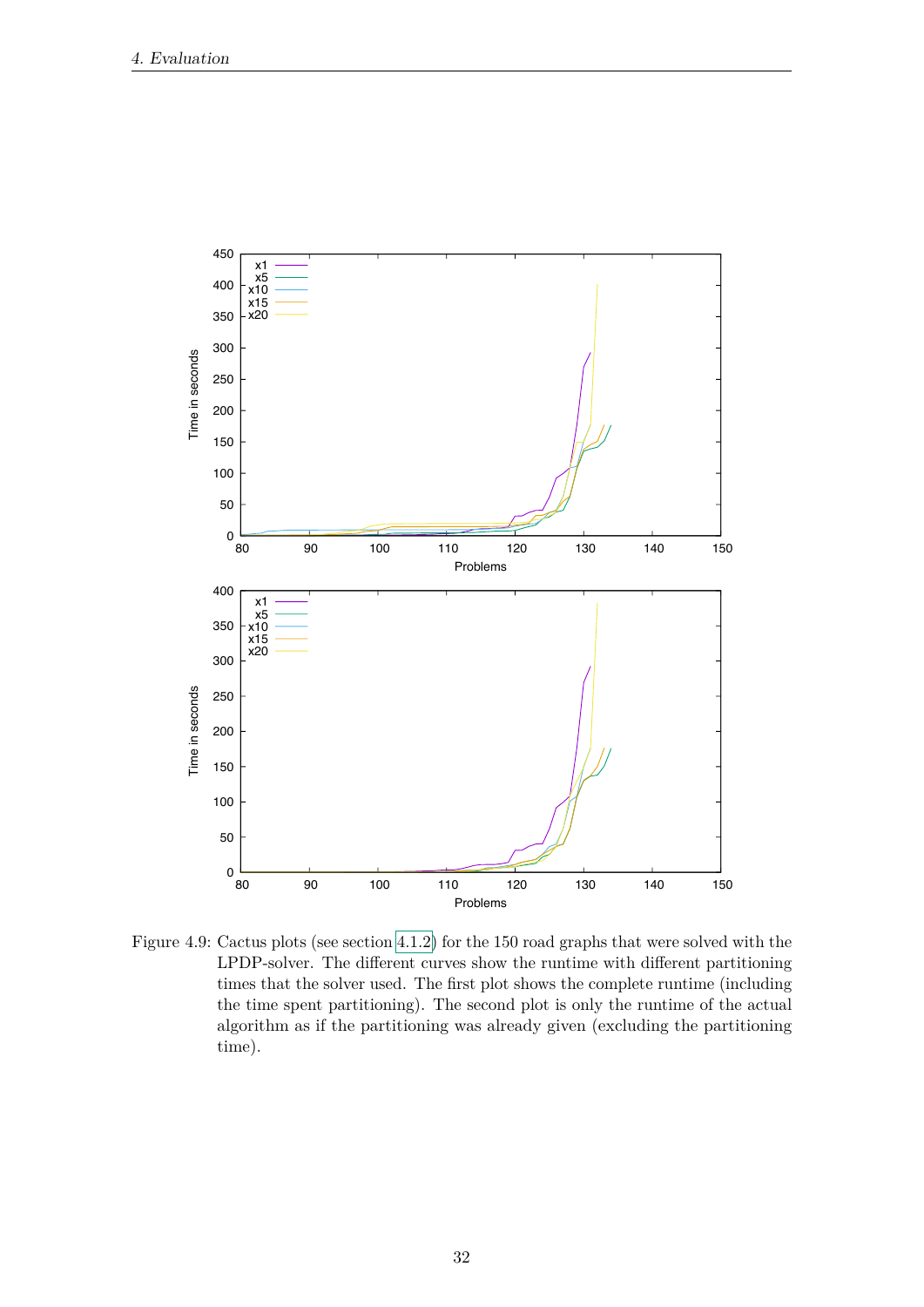

<span id="page-39-0"></span>Figure 4.9: Cactus plots (see section 4.1.2) for the 150 road graphs that were solved with the LPDP-solver. The different curves show the runtime with different partitioning times that the solver used. The first plot shows the complete runtime (including the time spent partitioning). The second plot is only the runtime of the actual algorithm as if the partitioning was already given (excluding the partitioning time).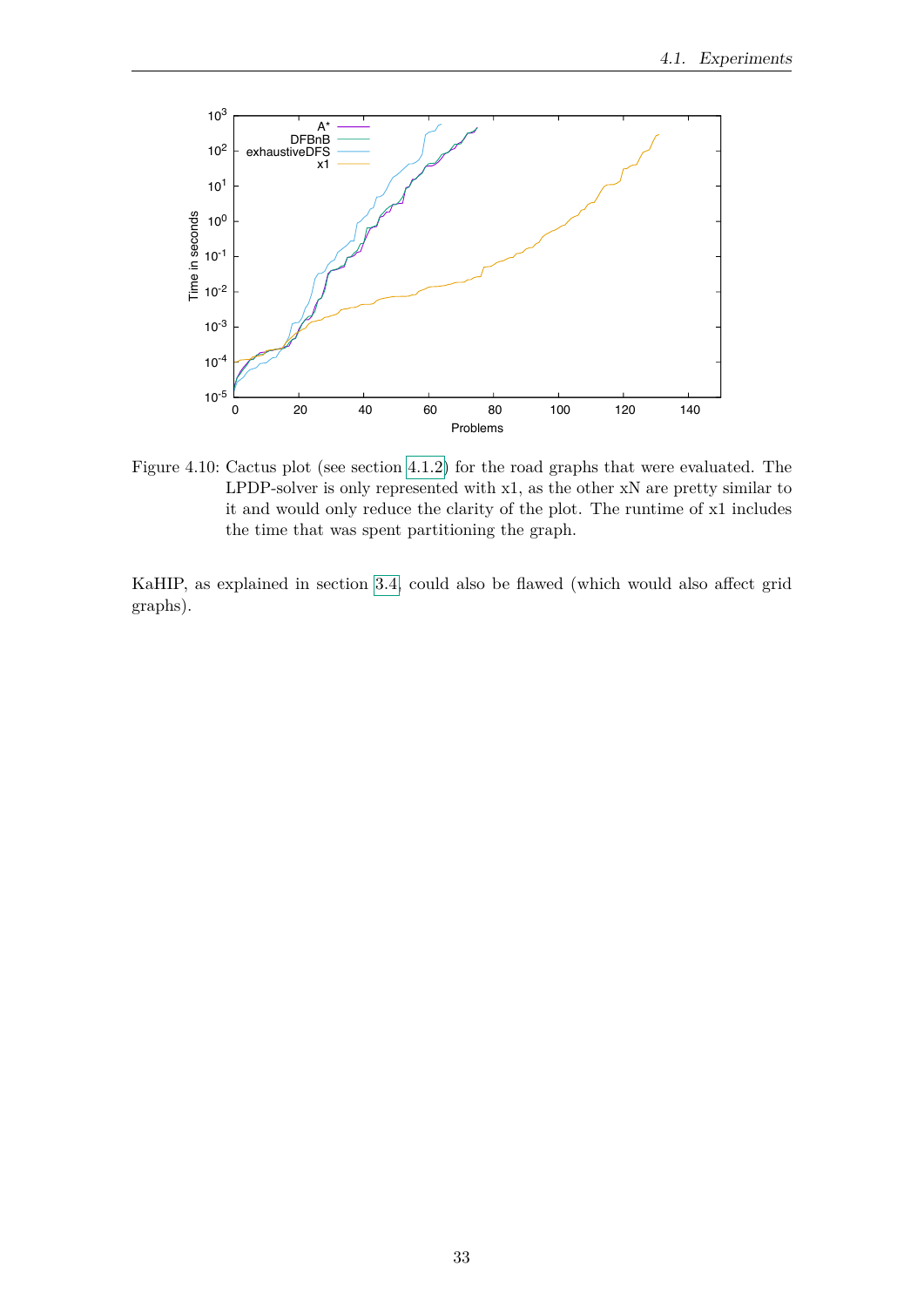

<span id="page-40-0"></span>Figure 4.10: Cactus plot (see section 4.1.2) for the road graphs that were evaluated. The LPDP-solver is only represented with x1, as the other xN are pretty similar to it and would only reduce the clarity of the plot. The runtime of x1 includes the time that was spent partitioning the graph.

KaHIP, as explained in section 3.4, could also be flawed (which would also affect grid graphs).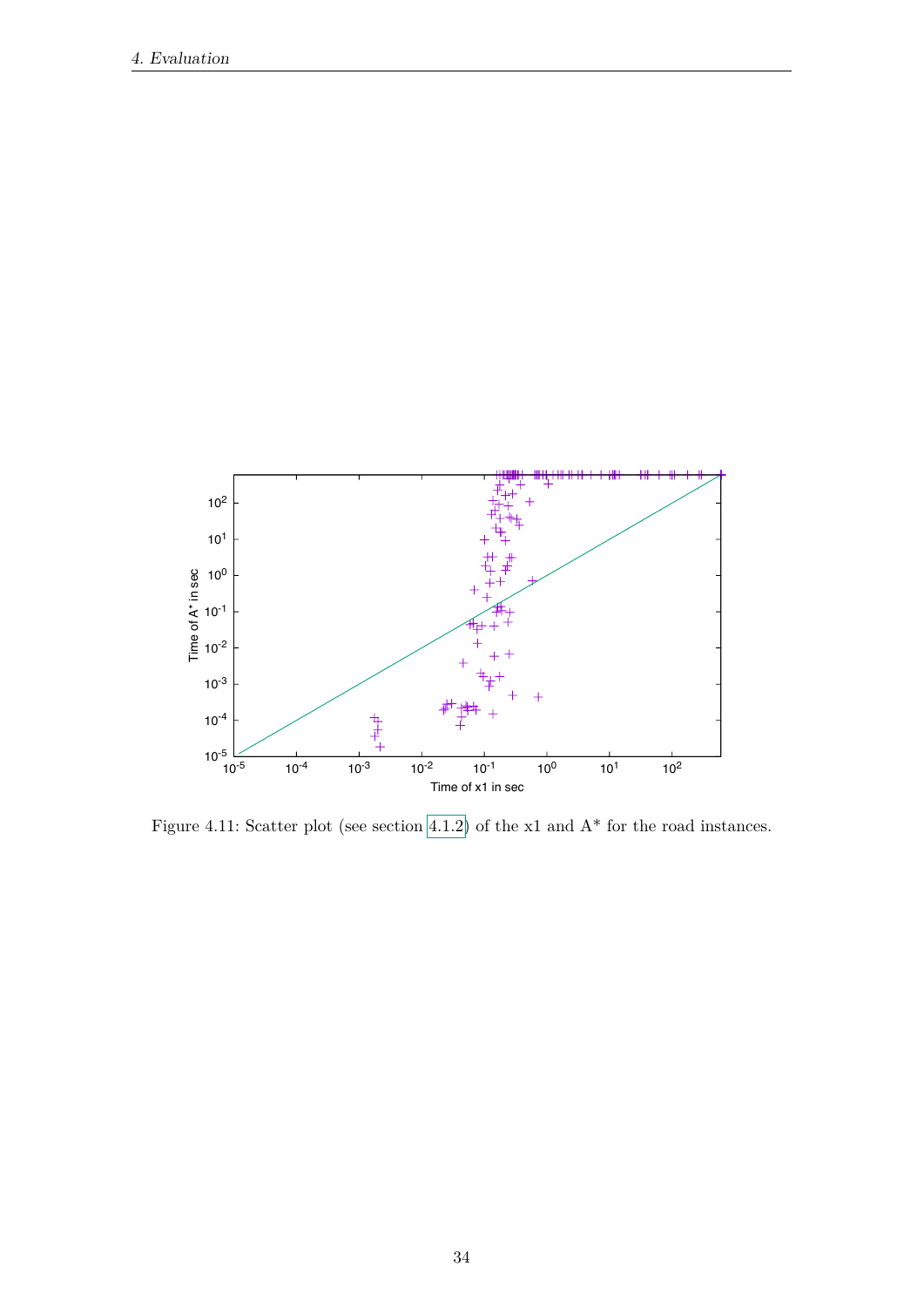

Figure 4.11: Scatter plot (see section 4.1.2) of the  $x1$  and  $A^*$  for the road instances.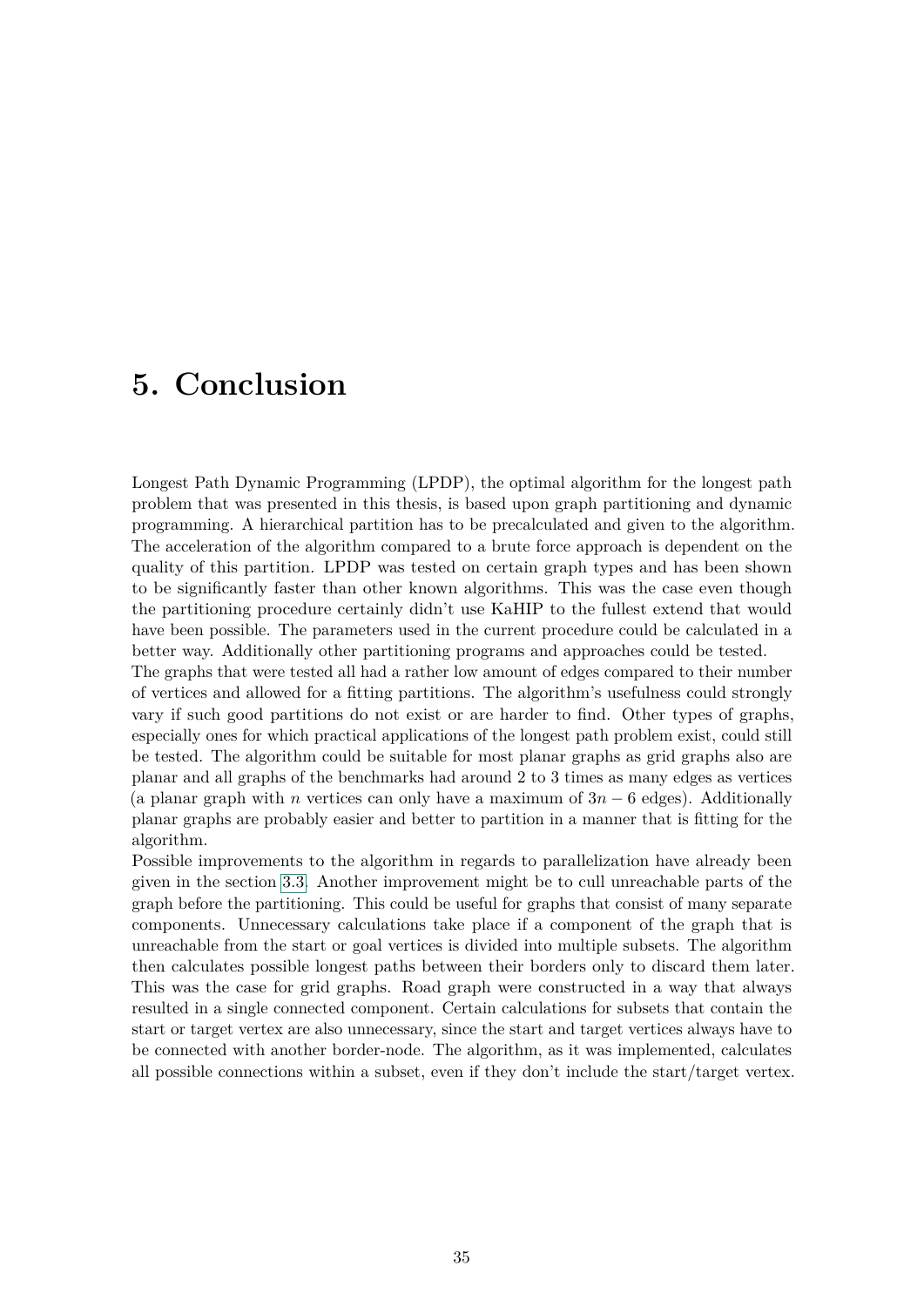# <span id="page-42-0"></span>**5. Conclusion**

Longest Path Dynamic Programming (LPDP), the optimal algorithm for the longest path problem that was presented in this thesis, is based upon graph partitioning and dynamic programming. A hierarchical partition has to be precalculated and given to the algorithm. The acceleration of the algorithm compared to a brute force approach is dependent on the quality of this partition. LPDP was tested on certain graph types and has been shown to be significantly faster than other known algorithms. This was the case even though the partitioning procedure certainly didn't use KaHIP to the fullest extend that would have been possible. The parameters used in the current procedure could be calculated in a better way. Additionally other partitioning programs and approaches could be tested.

The graphs that were tested all had a rather low amount of edges compared to their number of vertices and allowed for a fitting partitions. The algorithm's usefulness could strongly vary if such good partitions do not exist or are harder to find. Other types of graphs, especially ones for which practical applications of the longest path problem exist, could still be tested. The algorithm could be suitable for most planar graphs as grid graphs also are planar and all graphs of the benchmarks had around 2 to 3 times as many edges as vertices (a planar graph with *n* vertices can only have a maximum of 3*n* − 6 edges). Additionally planar graphs are probably easier and better to partition in a manner that is fitting for the algorithm.

Possible improvements to the algorithm in regards to parallelization have already been given in the section [3.3.](#page-24-0) Another improvement might be to cull unreachable parts of the graph before the partitioning. This could be useful for graphs that consist of many separate components. Unnecessary calculations take place if a component of the graph that is unreachable from the start or goal vertices is divided into multiple subsets. The algorithm then calculates possible longest paths between their borders only to discard them later. This was the case for grid graphs. Road graph were constructed in a way that always resulted in a single connected component. Certain calculations for subsets that contain the start or target vertex are also unnecessary, since the start and target vertices always have to be connected with another border-node. The algorithm, as it was implemented, calculates all possible connections within a subset, even if they don't include the start/target vertex.